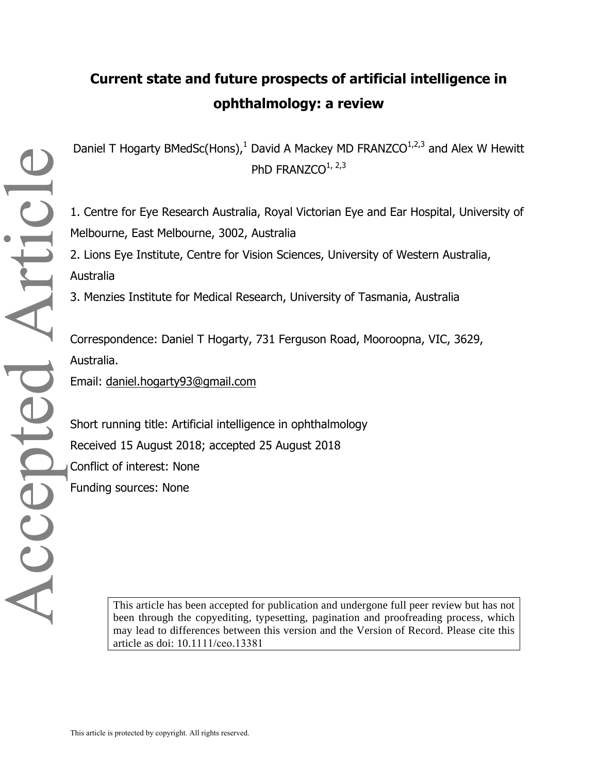# **Current state and future prospects of artificial intelligence in ophthalmology: a review**

Daniel T Hogarty BMedSc(Hons),<sup>1</sup> David A Mackey MD FRANZCO<sup>1,2,3</sup> and Alex W Hewitt PhD FRANZCO<sup>1, 2,3</sup>

1. Centre for Eye Research Australia, Royal Victorian Eye and Ear Hospital, University of Melbourne, East Melbourne, 3002, Australia 2. Lions Eye Institute, Centre for Vision Sciences, University of Western Australia, Australia 3. Menzies Institute for Medical Research, University of Tasmania, Australia Correspondence: Daniel T Hogarty, 731 Ferguson Road, Mooroopna, VIC, 3629,

Australia.

Email: [daniel.hogarty93@gmail.com](mailto:daniel.hogarty93@gmail.com)

Short running title: Artificial intelligence in ophthalmology Received 15 August 2018; accepted 25 August 2018 Conflict of interest: None Funding sources: None

> This article has been accepted for publication and undergone full peer review but has not been through the copyediting, typesetting, pagination and proofreading process, which may lead to differences between this version and the Version of Record. Please cite this article as doi: 10.1111/ceo.13381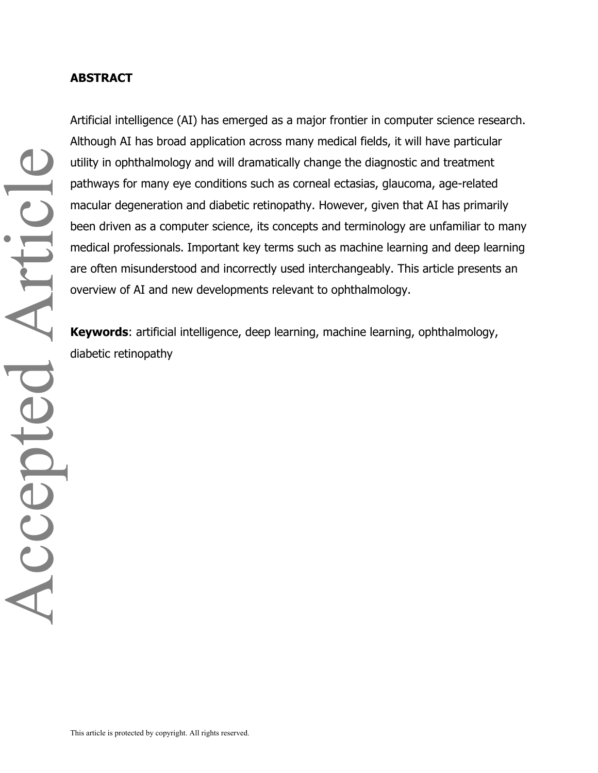### **ABSTRACT**

Artificial intelligence (AI) has emerged as a major frontier in computer science research. Although AI has broad application across many medical fields, it will have particular utility in ophthalmology and will dramatically change the diagnostic and treatment pathways for many eye conditions such as corneal ectasias, glaucoma, age-related macular degeneration and diabetic retinopathy. However, given that AI has primarily been driven as a computer science, its concepts and terminology are unfamiliar to many medical professionals. Important key terms such as machine learning and deep learning are often misunderstood and incorrectly used interchangeably. This article presents an overview of AI and new developments relevant to ophthalmology.

**Keywords**: artificial intelligence, deep learning, machine learning, ophthalmology, diabetic retinopathy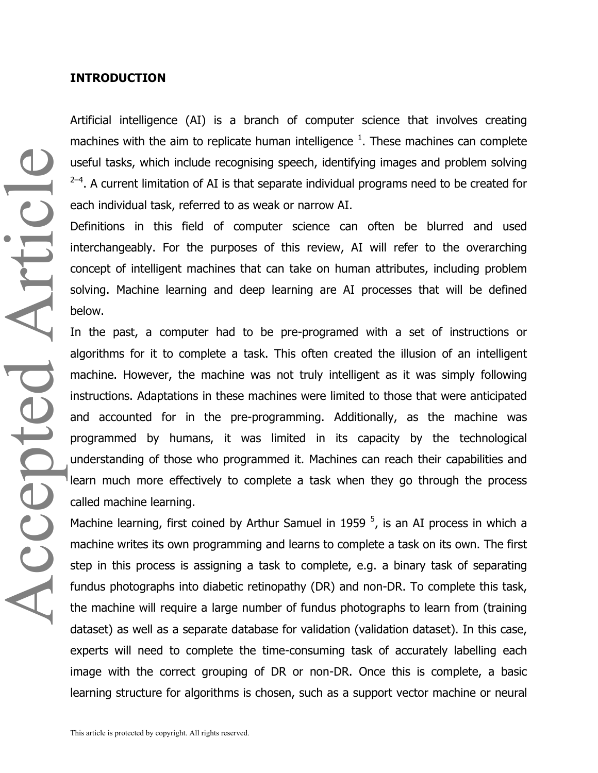#### **INTRODUCTION**

Artificial intelligence (AI) is a branch of computer science that involves creating machines with the aim to replicate human intelligence  $^1$  $^1$ . These machines can complete useful tasks, which include recognising speech, identifying images and problem solving  $2-4$  $2-4$ . A current limitation of AI is that separate individual programs need to be created for each individual task, referred to as weak or narrow AI.

Definitions in this field of computer science can often be blurred and used interchangeably. For the purposes of this review, AI will refer to the overarching concept of intelligent machines that can take on human attributes, including problem solving. Machine learning and deep learning are AI processes that will be defined below.

In the past, a computer had to be pre-programed with a set of instructions or algorithms for it to complete a task. This often created the illusion of an intelligent machine. However, the machine was not truly intelligent as it was simply following instructions. Adaptations in these machines were limited to those that were anticipated and accounted for in the pre-programming. Additionally, as the machine was programmed by humans, it was limited in its capacity by the technological understanding of those who programmed it. Machines can reach their capabilities and learn much more effectively to complete a task when they go through the process called machine learning.

Machine learning, first coined by Arthur Samuel in 19[5](https://paperpile.com/c/PHVQtU/Q2ml)9  $<sup>5</sup>$ , is an AI process in which a</sup> machine writes its own programming and learns to complete a task on its own. The first step in this process is assigning a task to complete, e.g. a binary task of separating fundus photographs into diabetic retinopathy (DR) and non-DR. To complete this task, the machine will require a large number of fundus photographs to learn from (training dataset) as well as a separate database for validation (validation dataset). In this case, experts will need to complete the time-consuming task of accurately labelling each image with the correct grouping of DR or non-DR. Once this is complete, a basic learning structure for algorithms is chosen, such as a support vector machine or neural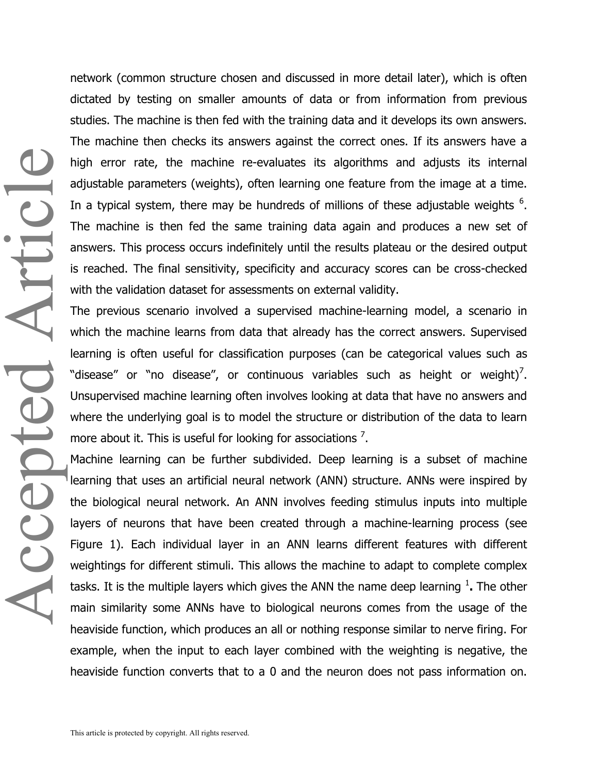network (common structure chosen and discussed in more detail later), which is often dictated by testing on smaller amounts of data or from information from previous studies. The machine is then fed with the training data and it develops its own answers. The machine then checks its answers against the correct ones. If its answers have a high error rate, the machine re-evaluates its algorithms and adjusts its internal adjustable parameters (weights), often learning one feature from the image at a time. In a typical system, there may be hundreds of millions of these adjustable weights  $6$ . The machine is then fed the same training data again and produces a new set of answers. This process occurs indefinitely until the results plateau or the desired output is reached. The final sensitivity, specificity and accuracy scores can be cross-checked with the validation dataset for assessments on external validity.

The previous scenario involved a supervised machine-learning model, a scenario in which the machine learns from data that already has the correct answers. Supervised learning is often useful for classification purposes (can be categorical values such as "disease" or "no disease", or continuous variables such as height or weight)<sup>[7](https://paperpile.com/c/PHVQtU/pwtv)</sup>. Unsupervised machine learning often involves looking at data that have no answers and where the underlying goal is to model the structure or distribution of the data to learn more about it. This is useful for looking for associations  $^7$  $^7$ .

Machine learning can be further subdivided. Deep learning is a subset of machine learning that uses an artificial neural network (ANN) structure. ANNs were inspired by the biological neural network. An ANN involves feeding stimulus inputs into multiple layers of neurons that have been created through a machine-learning process (see Figure 1). Each individual layer in an ANN learns different features with different weightings for different stimuli. This allows the machine to adapt to complete complex tasks. It is the multiple layers which gives the ANN the name deep learning <sup>[1](https://paperpile.com/c/PHVQtU/yB5g)</sup>. The other main similarity some ANNs have to biological neurons comes from the usage of the heaviside function, which produces an all or nothing response similar to nerve firing. For example, when the input to each layer combined with the weighting is negative, the heaviside function converts that to a 0 and the neuron does not pass information on.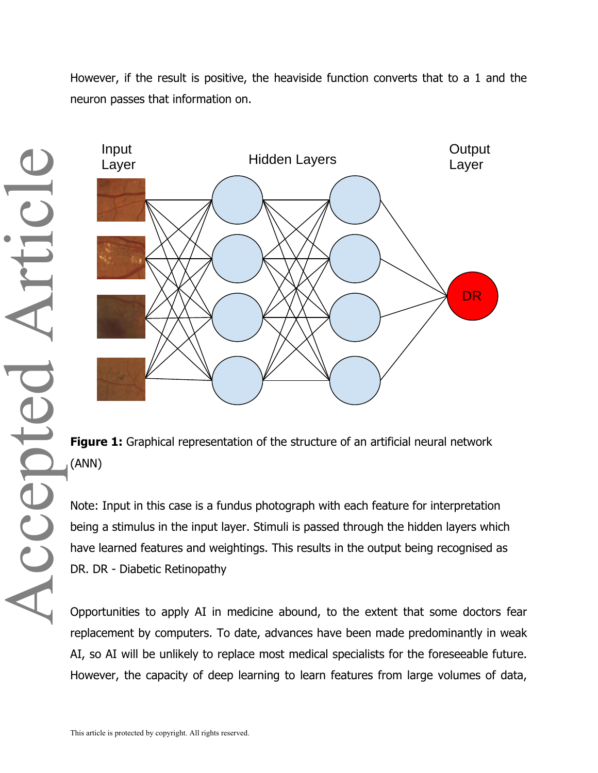However, if the result is positive, the heaviside function converts that to a 1 and the neuron passes that information on.



**Figure 1:** Graphical representation of the structure of an artificial neural network (ANN)

Note: Input in this case is a fundus photograph with each feature for interpretation being a stimulus in the input layer. Stimuli is passed through the hidden layers which have learned features and weightings. This results in the output being recognised as DR. DR - Diabetic Retinopathy

Opportunities to apply AI in medicine abound, to the extent that some doctors fear replacement by computers. To date, advances have been made predominantly in weak AI, so AI will be unlikely to replace most medical specialists for the foreseeable future. However, the capacity of deep learning to learn features from large volumes of data,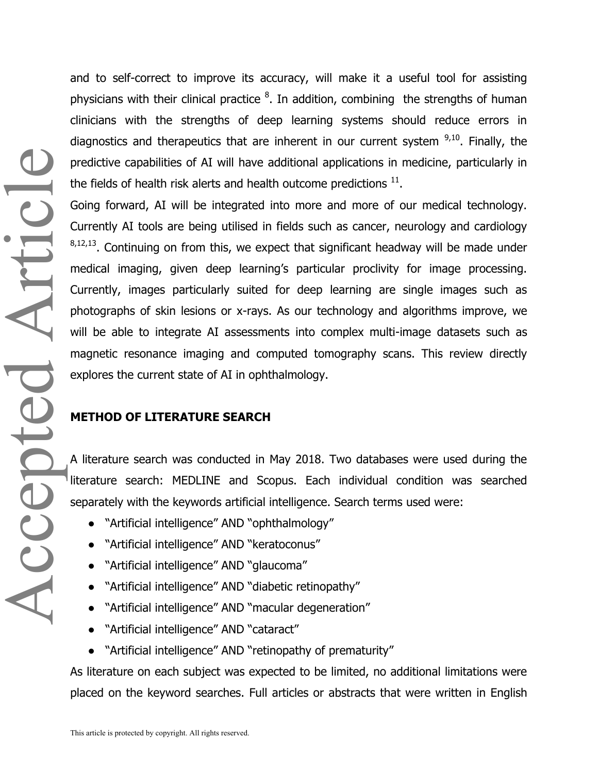and to self-correct to improve its accuracy, will make it a useful tool for assisting physicians with their clinical practice <sup>[8](https://paperpile.com/c/PHVQtU/MxJp)</sup>. In addition, combining the strengths of human clinicians with the strengths of deep learning systems should reduce errors in diagnostics and therapeutics that are inherent in our current system  $9,10$ . Finally, the predictive capabilities of AI will have additional applications in medicine, particularly in the fields of health risk alerts and health outcome predictions  $^{11}$  $^{11}$  $^{11}$ .

Going forward, AI will be integrated into more and more of our medical technology. Currently AI tools are being utilised in fields such as cancer, neurology and cardiology  $8,12,13$ . Continuing on from this, we expect that significant headway will be made under medical imaging, given deep learning's particular proclivity for image processing. Currently, images particularly suited for deep learning are single images such as photographs of skin lesions or x-rays. As our technology and algorithms improve, we will be able to integrate AI assessments into complex multi-image datasets such as magnetic resonance imaging and computed tomography scans. This review directly explores the current state of AI in ophthalmology.

## **METHOD OF LITERATURE SEARCH**

A literature search was conducted in May 2018. Two databases were used during the literature search: MEDLINE and Scopus. Each individual condition was searched separately with the keywords artificial intelligence. Search terms used were:

- "Artificial intelligence" AND "ophthalmology"
- "Artificial intelligence" AND "keratoconus"
- "Artificial intelligence" AND "glaucoma"
- "Artificial intelligence" AND "diabetic retinopathy"
- "Artificial intelligence" AND "macular degeneration"
- "Artificial intelligence" AND "cataract"
- "Artificial intelligence" AND "retinopathy of prematurity"

As literature on each subject was expected to be limited, no additional limitations were placed on the keyword searches. Full articles or abstracts that were written in English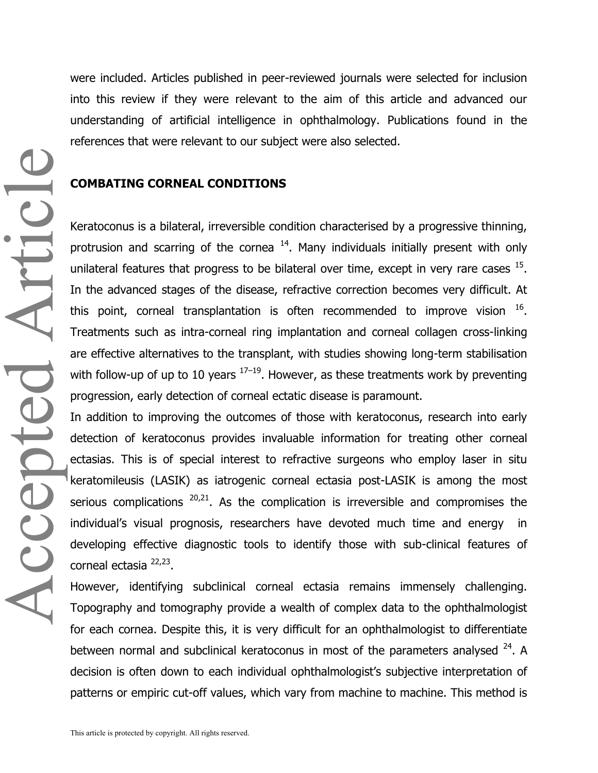were included. Articles published in peer-reviewed journals were selected for inclusion into this review if they were relevant to the aim of this article and advanced our understanding of artificial intelligence in ophthalmology. Publications found in the references that were relevant to our subject were also selected.

#### **COMBATING CORNEAL CONDITIONS**

Keratoconus is a bilateral, irreversible condition characterised by a progressive thinning, protrusion and scarring of the cornea  $14$ . Many individuals initially present with only unilateral features that progress to be bilateral over time, except in very rare cases  $^{15}$  $^{15}$  $^{15}$ . In the advanced stages of the disease, refractive correction becomes very difficult. At this point, corneal transplantation is often recommended to improve vision  $^{16}$  $^{16}$  $^{16}$ . Treatments such as intra-corneal ring implantation and corneal collagen cross-linking are effective alternatives to the transplant, with studies showing long-term stabilisation with follow-up of up to 10 years  $17-19$  $17-19$ . However, as these treatments work by preventing progression, early detection of corneal ectatic disease is paramount.

In addition to improving the outcomes of those with keratoconus, research into early detection of keratoconus provides invaluable information for treating other corneal ectasias. This is of special interest to refractive surgeons who employ laser in situ keratomileusis (LASIK) as iatrogenic corneal ectasia post-LASIK is among the most serious complications  $20,21$ . As the complication is irreversible and compromises the individual"s visual prognosis, researchers have devoted much time and energy in developing effective diagnostic tools to identify those with sub-clinical features of corneal ectasia <sup>[22,23](https://paperpile.com/c/PHVQtU/bIs9+z1TL)</sup>.

However, identifying subclinical corneal ectasia remains immensely challenging. Topography and tomography provide a wealth of complex data to the ophthalmologist for each cornea. Despite this, it is very difficult for an ophthalmologist to differentiate between normal and subclinical keratoconus in most of the parameters analysed  $24$ . A decision is often down to each individual ophthalmologist's subjective interpretation of patterns or empiric cut-off values, which vary from machine to machine. This method is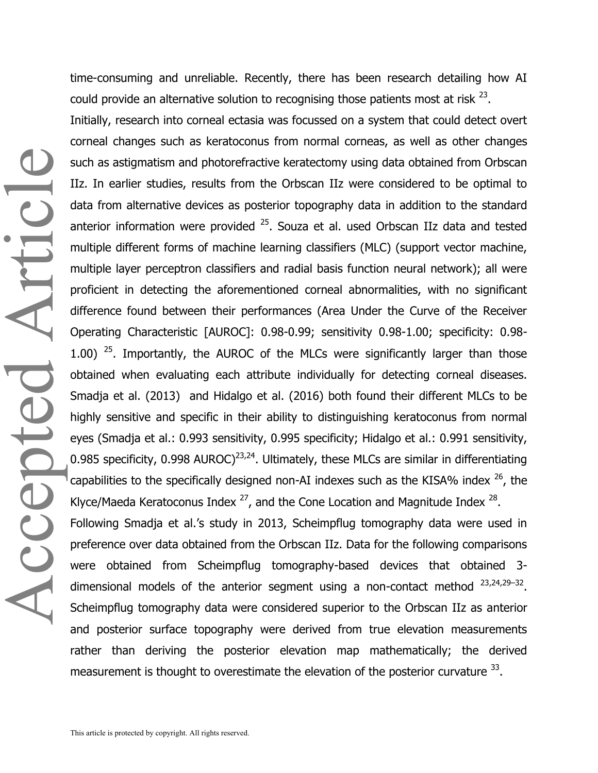time-consuming and unreliable. Recently, there has been research detailing how AI could provide an alternative solution to recognising those patients most at risk  $^{23}$  $^{23}$  $^{23}$ . Initially, research into corneal ectasia was focussed on a system that could detect overt corneal changes such as keratoconus from normal corneas, as well as other changes such as astigmatism and photorefractive keratectomy using data obtained from Orbscan IIz. In earlier studies, results from the Orbscan IIz were considered to be optimal to data from alternative devices as posterior topography data in addition to the standard anterior information were provided  $25$ . Souza et al. used Orbscan IIz data and tested multiple different forms of machine learning classifiers (MLC) (support vector machine, multiple layer perceptron classifiers and radial basis function neural network); all were proficient in detecting the aforementioned corneal abnormalities, with no significant difference found between their performances (Area Under the Curve of the Receiver Operating Characteristic [AUROC]: 0.98-0.99; sensitivity 0.98-1.00; specificity: 0.98- 1.00)  $25$ . Importantly, the AUROC of the MLCs were significantly larger than those obtained when evaluating each attribute individually for detecting corneal diseases. Smadja et al. (2013) and Hidalgo et al. (2016) both found their different MLCs to be highly sensitive and specific in their ability to distinguishing keratoconus from normal eyes (Smadja et al.: 0.993 sensitivity, 0.995 specificity; Hidalgo et al.: 0.991 sensitivity, 0.985 specificity, 0.998 AUROC)<sup>[23,24](https://paperpile.com/c/PHVQtU/z1TL+c2xo)</sup>. Ultimately, these MLCs are similar in differentiating capabilities to the specifically designed non-AI indexes such as the KISA% index  $^{26}$  $^{26}$  $^{26}$ , the Klyce/Maeda Keratoconus Index  $^{27}$  $^{27}$  $^{27}$ , and the Cone Location and Magnitude Index  $^{28}$  $^{28}$  $^{28}$ . Following Smadja et al.'s study in 2013, Scheimpflug tomography data were used in preference over data obtained from the Orbscan IIz. Data for the following comparisons were obtained from Scheimpflug tomography-based devices that obtained 3 dimensional models of the anterior segment using a non-contact method  $^{23,24,29-32}$  $^{23,24,29-32}$  $^{23,24,29-32}$ . Scheimpflug tomography data were considered superior to the Orbscan IIz as anterior and posterior surface topography were derived from true elevation measurements rather than deriving the posterior elevation map mathematically; the derived measurement is thought to overestimate the elevation of the posterior curvature  $^{33}$  $^{33}$  $^{33}$ .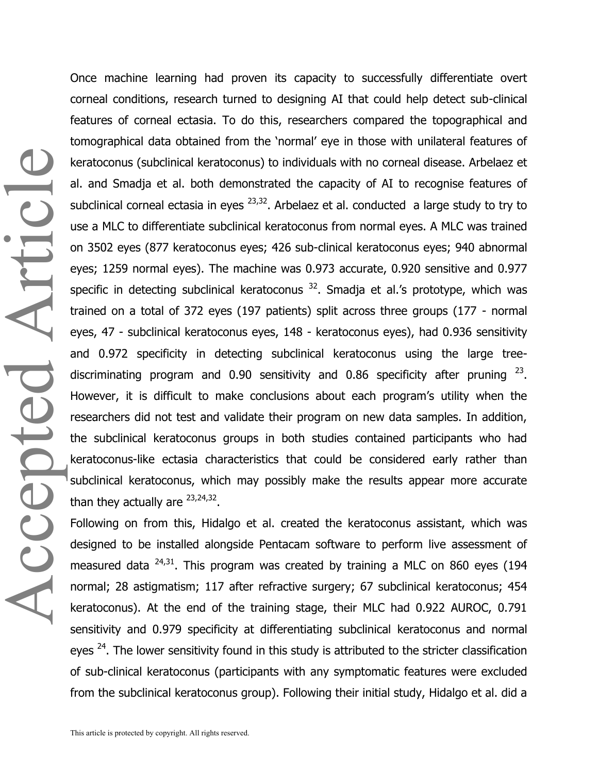Once machine learning had proven its capacity to successfully differentiate overt corneal conditions, research turned to designing AI that could help detect sub-clinical features of corneal ectasia. To do this, researchers compared the topographical and tomographical data obtained from the "normal" eye in those with unilateral features of keratoconus (subclinical keratoconus) to individuals with no corneal disease. Arbelaez et al. and Smadja et al. both demonstrated the capacity of AI to recognise features of subclinical corneal ectasia in eyes  $^{23,32}$  $^{23,32}$  $^{23,32}$ . Arbelaez et al. conducted a large study to try to use a MLC to differentiate subclinical keratoconus from normal eyes. A MLC was trained on 3502 eyes (877 keratoconus eyes; 426 sub-clinical keratoconus eyes; 940 abnormal eyes; 1259 normal eyes). The machine was 0.973 accurate, 0.920 sensitive and 0.977 specific in detecting subclinical keratoconus  $32$ . Smadja et al.'s prototype, which was trained on a total of 372 eyes (197 patients) split across three groups (177 - normal eyes, 47 - subclinical keratoconus eyes, 148 - keratoconus eyes), had 0.936 sensitivity and 0.972 specificity in detecting subclinical keratoconus using the large treediscriminating program and 0.90 sensitivity and 0.86 specificity after pruning  $^{23}$  $^{23}$  $^{23}$ . However, it is difficult to make conclusions about each program's utility when the researchers did not test and validate their program on new data samples. In addition, the subclinical keratoconus groups in both studies contained participants who had keratoconus-like ectasia characteristics that could be considered early rather than subclinical keratoconus, which may possibly make the results appear more accurate than they actually are  $^{23,24,32}$  $^{23,24,32}$  $^{23,24,32}$ .

Following on from this, Hidalgo et al. created the keratoconus assistant, which was designed to be installed alongside Pentacam software to perform live assessment of measured data  $24,31$ . This program was created by training a MLC on 860 eyes (194 normal; 28 astigmatism; 117 after refractive surgery; 67 subclinical keratoconus; 454 keratoconus). At the end of the training stage, their MLC had 0.922 AUROC, 0.791 sensitivity and 0.979 specificity at differentiating subclinical keratoconus and normal eyes  $24$ . The lower sensitivity found in this study is attributed to the stricter classification of sub-clinical keratoconus (participants with any symptomatic features were excluded from the subclinical keratoconus group). Following their initial study, Hidalgo et al. did a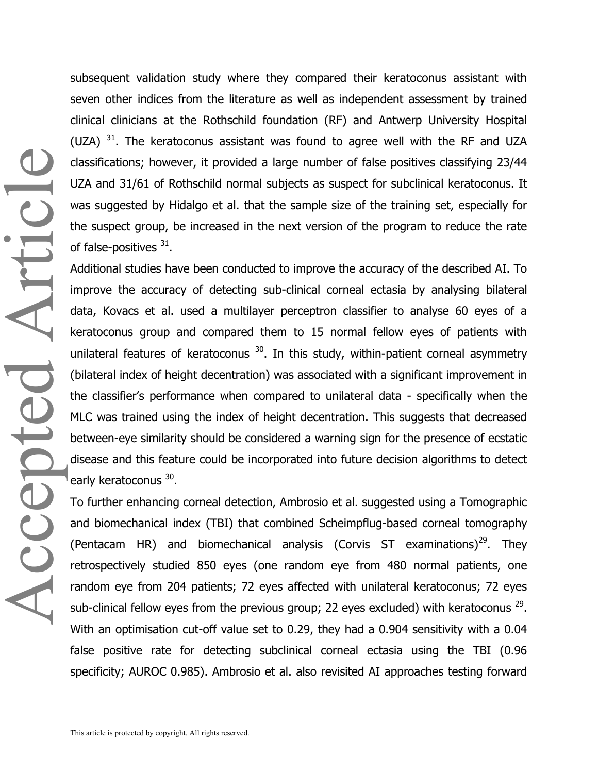subsequent validation study where they compared their keratoconus assistant with seven other indices from the literature as well as independent assessment by trained clinical clinicians at the Rothschild foundation (RF) and Antwerp University Hospital (UZA)  $31$ . The keratoconus assistant was found to agree well with the RF and UZA classifications; however, it provided a large number of false positives classifying 23/44 UZA and 31/61 of Rothschild normal subjects as suspect for subclinical keratoconus. It was suggested by Hidalgo et al. that the sample size of the training set, especially for the suspect group, be increased in the next version of the program to reduce the rate of false-positives <sup>[31](https://paperpile.com/c/PHVQtU/Lszv)</sup>.

Additional studies have been conducted to improve the accuracy of the described AI. To improve the accuracy of detecting sub-clinical corneal ectasia by analysing bilateral data, Kovacs et al. used a multilayer perceptron classifier to analyse 60 eyes of a keratoconus group and compared them to 15 normal fellow eyes of patients with unilateral features of keratoconus  $30$ . In this study, within-patient corneal asymmetry (bilateral index of height decentration) was associated with a significant improvement in the classifier"s performance when compared to unilateral data - specifically when the MLC was trained using the index of height decentration. This suggests that decreased between-eye similarity should be considered a warning sign for the presence of ecstatic disease and this feature could be incorporated into future decision algorithms to detect early keratoconus <sup>[30](https://paperpile.com/c/PHVQtU/jQEB)</sup>.

To further enhancing corneal detection, Ambrosio et al. suggested using a Tomographic and biomechanical index (TBI) that combined Scheimpflug-based corneal tomography (Pentacam HR) and biomechanical analysis (Corvis ST examinations)<sup>[29](https://paperpile.com/c/PHVQtU/eSKQ)</sup>. They retrospectively studied 850 eyes (one random eye from 480 normal patients, one random eye from 204 patients; 72 eyes affected with unilateral keratoconus; 72 eyes sub-clinical fellow eyes from the previous group; 22 eyes excluded) with keratoconus  $^{29}$  $^{29}$  $^{29}$ . With an optimisation cut-off value set to 0.29, they had a 0.904 sensitivity with a 0.04 false positive rate for detecting subclinical corneal ectasia using the TBI (0.96 specificity; AUROC 0.985). Ambrosio et al. also revisited AI approaches testing forward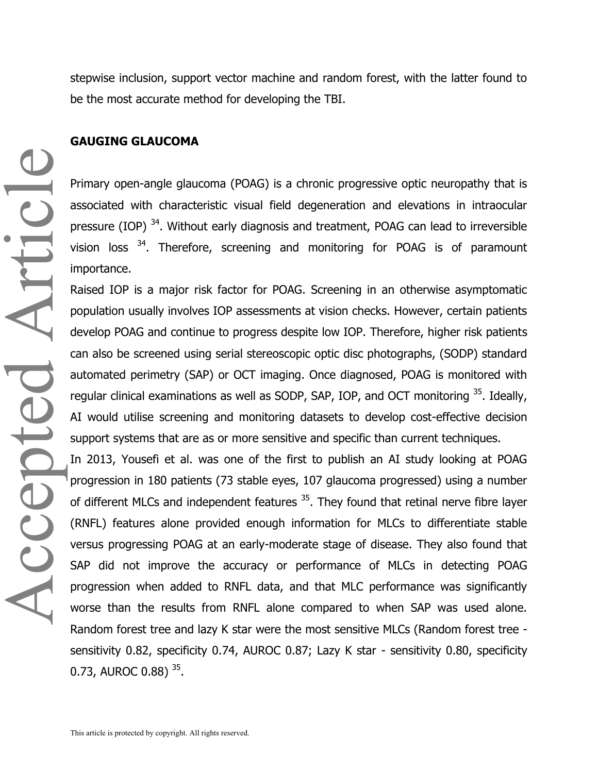stepwise inclusion, support vector machine and random forest, with the latter found to be the most accurate method for developing the TBI.

### **GAUGING GLAUCOMA**

Primary open-angle glaucoma (POAG) is a chronic progressive optic neuropathy that is associated with characteristic visual field degeneration and elevations in intraocular pressure (IOP) [34](https://paperpile.com/c/PHVQtU/HSsy). Without early diagnosis and treatment, POAG can lead to irreversible vision loss <sup>[34](https://paperpile.com/c/PHVQtU/HSsy)</sup>. Therefore, screening and monitoring for POAG is of paramount importance.

Raised IOP is a major risk factor for POAG. Screening in an otherwise asymptomatic population usually involves IOP assessments at vision checks. However, certain patients develop POAG and continue to progress despite low IOP. Therefore, higher risk patients can also be screened using serial stereoscopic optic disc photographs, (SODP) standard automated perimetry (SAP) or OCT imaging. Once diagnosed, POAG is monitored with regular clinical examinations as well as SODP, SAP, IOP, and OCT monitoring  $35$ . Ideally, AI would utilise screening and monitoring datasets to develop cost-effective decision support systems that are as or more sensitive and specific than current techniques.

In 2013, Yousefi et al. was one of the first to publish an AI study looking at POAG progression in 180 patients (73 stable eyes, 107 glaucoma progressed) using a number of different MLCs and independent features <sup>[35](https://paperpile.com/c/PHVQtU/bdnn)</sup>. They found that retinal nerve fibre layer (RNFL) features alone provided enough information for MLCs to differentiate stable versus progressing POAG at an early-moderate stage of disease. They also found that SAP did not improve the accuracy or performance of MLCs in detecting POAG progression when added to RNFL data, and that MLC performance was significantly worse than the results from RNFL alone compared to when SAP was used alone. Random forest tree and lazy K star were the most sensitive MLCs (Random forest tree sensitivity 0.82, specificity 0.74, AUROC 0.87; Lazy K star - sensitivity 0.80, specificity 0.73, AUROC 0.88)<sup>[35](https://paperpile.com/c/PHVQtU/bdnn)</sup>.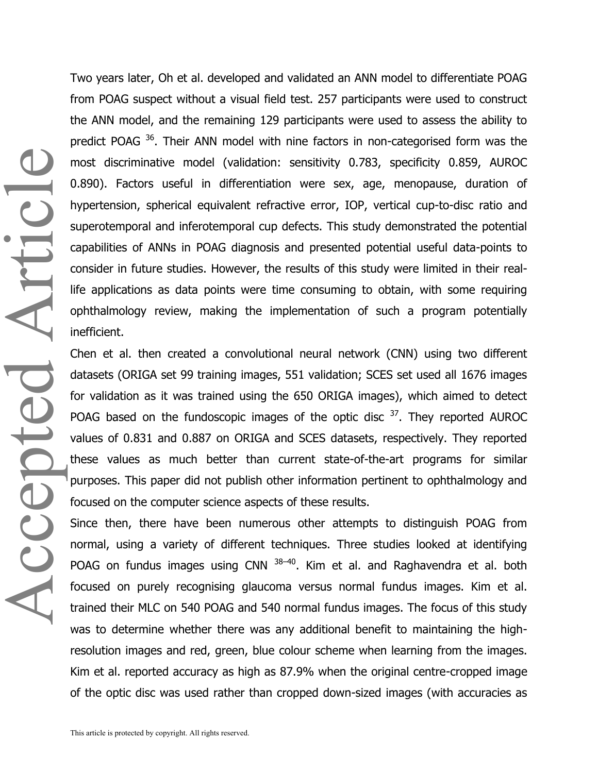Two years later, Oh et al. developed and validated an ANN model to differentiate POAG from POAG suspect without a visual field test. 257 participants were used to construct the ANN model, and the remaining 129 participants were used to assess the ability to predict POAG <sup>[36](https://paperpile.com/c/PHVQtU/m3WF)</sup>. Their ANN model with nine factors in non-categorised form was the most discriminative model (validation: sensitivity 0.783, specificity 0.859, AUROC 0.890). Factors useful in differentiation were sex, age, menopause, duration of hypertension, spherical equivalent refractive error, IOP, vertical cup-to-disc ratio and superotemporal and inferotemporal cup defects. This study demonstrated the potential capabilities of ANNs in POAG diagnosis and presented potential useful data-points to consider in future studies. However, the results of this study were limited in their reallife applications as data points were time consuming to obtain, with some requiring ophthalmology review, making the implementation of such a program potentially inefficient.

Chen et al. then created a convolutional neural network (CNN) using two different datasets (ORIGA set 99 training images, 551 validation; SCES set used all 1676 images for validation as it was trained using the 650 ORIGA images), which aimed to detect POAG based on the fundoscopic images of the optic disc  $37$ . They reported AUROC values of 0.831 and 0.887 on ORIGA and SCES datasets, respectively. They reported these values as much better than current state-of-the-art programs for similar purposes. This paper did not publish other information pertinent to ophthalmology and focused on the computer science aspects of these results.

Since then, there have been numerous other attempts to distinguish POAG from normal, using a variety of different techniques. Three studies looked at identifying POAG on fundus images using CNN <sup>[38](https://paperpile.com/c/PHVQtU/IcT8+lU0J+yLW1)-40</sup>. Kim et al. and Raghavendra et al. both focused on purely recognising glaucoma versus normal fundus images. Kim et al. trained their MLC on 540 POAG and 540 normal fundus images. The focus of this study was to determine whether there was any additional benefit to maintaining the highresolution images and red, green, blue colour scheme when learning from the images. Kim et al. reported accuracy as high as 87.9% when the original centre-cropped image of the optic disc was used rather than cropped down-sized images (with accuracies as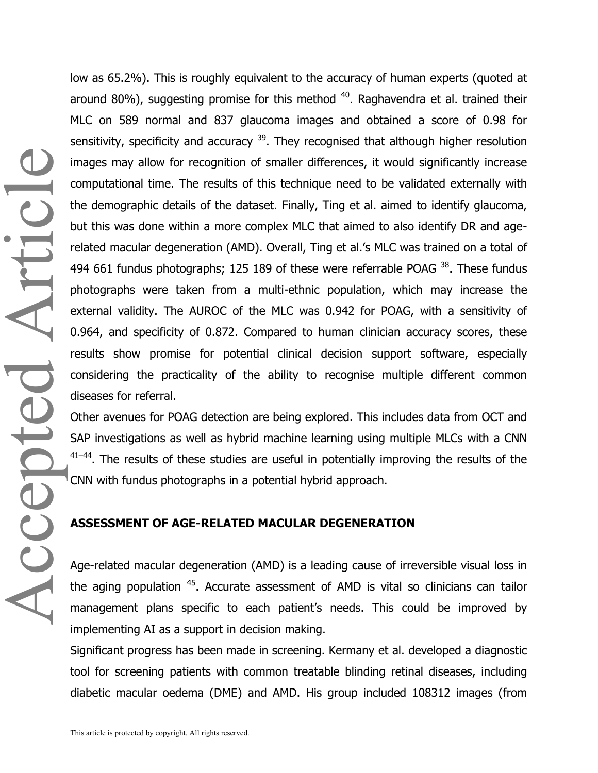low as 65.2%). This is roughly equivalent to the accuracy of human experts (quoted at around 80%), suggesting promise for this method  $40$ . Raghavendra et al. trained their MLC on 589 normal and 837 glaucoma images and obtained a score of 0.98 for sensitivity, specificity and accuracy  $39$ . They recognised that although higher resolution images may allow for recognition of smaller differences, it would significantly increase computational time. The results of this technique need to be validated externally with the demographic details of the dataset. Finally, Ting et al. aimed to identify glaucoma, but this was done within a more complex MLC that aimed to also identify DR and agerelated macular degeneration (AMD). Overall, Ting et al."s MLC was trained on a total of 494 661 fundus photographs; 125 189 of these were referrable POAG <sup>[38](https://paperpile.com/c/PHVQtU/IcT8)</sup>. These fundus photographs were taken from a multi-ethnic population, which may increase the external validity. The AUROC of the MLC was 0.942 for POAG, with a sensitivity of 0.964, and specificity of 0.872. Compared to human clinician accuracy scores, these results show promise for potential clinical decision support software, especially considering the practicality of the ability to recognise multiple different common diseases for referral.

Other avenues for POAG detection are being explored. This includes data from OCT and SAP investigations as well as hybrid machine learning using multiple MLCs with a CNN  $41-44$  $41-44$ . The results of these studies are useful in potentially improving the results of the CNN with fundus photographs in a potential hybrid approach.

## **ASSESSMENT OF AGE-RELATED MACULAR DEGENERATION**

Age-related macular degeneration (AMD) is a leading cause of irreversible visual loss in the aging population  $45$ . Accurate assessment of AMD is vital so clinicians can tailor management plans specific to each patient"s needs. This could be improved by implementing AI as a support in decision making.

Significant progress has been made in screening. Kermany et al. developed a diagnostic tool for screening patients with common treatable blinding retinal diseases, including diabetic macular oedema (DME) and AMD. His group included 108312 images (from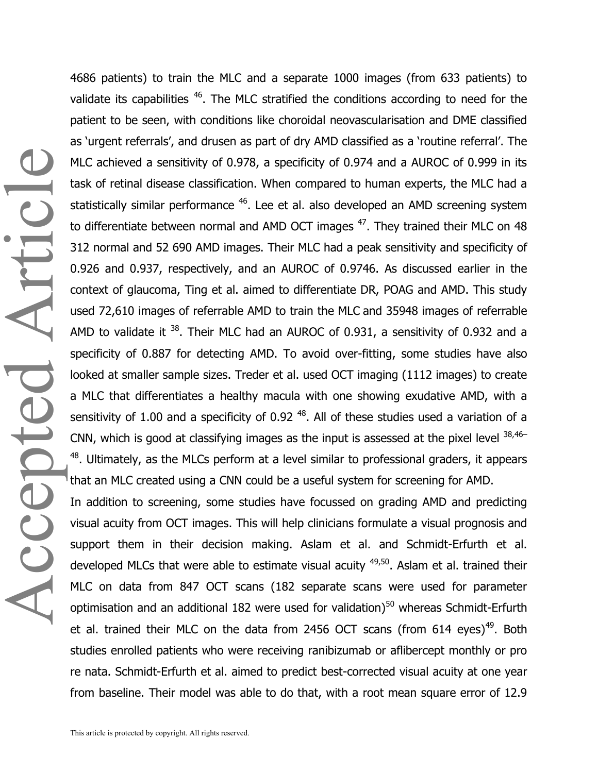4686 patients) to train the MLC and a separate 1000 images (from 633 patients) to validate its capabilities <sup>[46](https://paperpile.com/c/PHVQtU/c5wi)</sup>. The MLC stratified the conditions according to need for the patient to be seen, with conditions like choroidal neovascularisation and DME classified as 'urgent referrals', and drusen as part of dry AMD classified as a 'routine referral'. The MLC achieved a sensitivity of 0.978, a specificity of 0.974 and a AUROC of 0.999 in its task of retinal disease classification. When compared to human experts, the MLC had a statistically similar performance <sup>[46](https://paperpile.com/c/PHVQtU/c5wi)</sup>. Lee et al. also developed an AMD screening system to differentiate between normal and AMD OCT images <sup>[47](https://paperpile.com/c/PHVQtU/2MRP)</sup>. They trained their MLC on 48 312 normal and 52 690 AMD images. Their MLC had a peak sensitivity and specificity of 0.926 and 0.937, respectively, and an AUROC of 0.9746. As discussed earlier in the context of glaucoma, Ting et al. aimed to differentiate DR, POAG and AMD. This study used 72,610 images of referrable AMD to train the MLC and 35948 images of referrable AMD to validate it  $38$ . Their MLC had an AUROC of 0.931, a sensitivity of 0.932 and a specificity of 0.887 for detecting AMD. To avoid over-fitting, some studies have also looked at smaller sample sizes. Treder et al. used OCT imaging (1112 images) to create a MLC that differentiates a healthy macula with one showing exudative AMD, with a sensitivity of 1.00 and a specificity of 0.92 $48$ . All of these studies used a variation of a CNN, which is good at classifying images as the input is assessed at the pixel level  $38,46 38,46-$ <sup>[48](https://paperpile.com/c/PHVQtU/c5wi+IcT8+NzQL+2MRP)</sup>. Ultimately, as the MLCs perform at a level similar to professional graders, it appears that an MLC created using a CNN could be a useful system for screening for AMD.

In addition to screening, some studies have focussed on grading AMD and predicting visual acuity from OCT images. This will help clinicians formulate a visual prognosis and support them in their decision making. Aslam et al. and Schmidt-Erfurth et al. developed MLCs that were able to estimate visual acuity  $49,50$ . Aslam et al. trained their MLC on data from 847 OCT scans (182 separate scans were used for parameter optimisation and an additional 182 were used for validation)<sup>[50](https://paperpile.com/c/PHVQtU/rO2Z)</sup> whereas Schmidt-Erfurth et al. trained their MLC on the data from 2456 OCT scans (from 614 eyes)<sup>[49](https://paperpile.com/c/PHVQtU/4eU5)</sup>. Both studies enrolled patients who were receiving ranibizumab or aflibercept monthly or pro re nata. Schmidt-Erfurth et al. aimed to predict best-corrected visual acuity at one year from baseline. Their model was able to do that, with a root mean square error of 12.9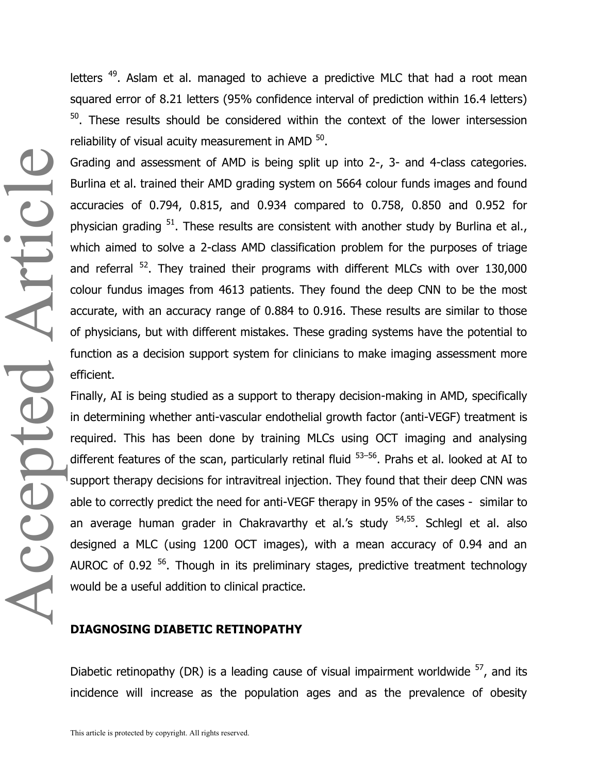letters  $49$ . Aslam et al. managed to achieve a predictive MLC that had a root mean squared error of 8.21 letters (95% confidence interval of prediction within 16.4 letters) <sup>[50](https://paperpile.com/c/PHVQtU/rO2Z)</sup>. These results should be considered within the context of the lower intersession reliability of visual acuity measurement in AMD <sup>[50](https://paperpile.com/c/PHVQtU/rO2Z)</sup>.

Grading and assessment of AMD is being split up into 2-, 3- and 4-class categories. Burlina et al. trained their AMD grading system on 5664 colour funds images and found accuracies of 0.794, 0.815, and 0.934 compared to 0.758, 0.850 and 0.952 for physician grading  $51$ . These results are consistent with another study by Burlina et al., which aimed to solve a 2-class AMD classification problem for the purposes of triage and referral  $52$ . They trained their programs with different MLCs with over 130,000 colour fundus images from 4613 patients. They found the deep CNN to be the most accurate, with an accuracy range of 0.884 to 0.916. These results are similar to those of physicians, but with different mistakes. These grading systems have the potential to function as a decision support system for clinicians to make imaging assessment more efficient.

Finally, AI is being studied as a support to therapy decision-making in AMD, specifically in determining whether anti-vascular endothelial growth factor (anti-VEGF) treatment is required. This has been done by training MLCs using OCT imaging and analysing different features of the scan, particularly retinal fluid  $53-56$  $53-56$ . Prahs et al. looked at AI to support therapy decisions for intravitreal injection. They found that their deep CNN was able to correctly predict the need for anti-VEGF therapy in 95% of the cases - similar to an average human grader in Chakravarthy et al.'s study  $54,55$ . Schlegl et al. also designed a MLC (using 1200 OCT images), with a mean accuracy of 0.94 and an AUROC of 0.92<sup>[56](https://paperpile.com/c/PHVQtU/jxRd)</sup>. Though in its preliminary stages, predictive treatment technology would be a useful addition to clinical practice.

### **DIAGNOSING DIABETIC RETINOPATHY**

Diabetic retinopathy (DR) is a leading cause of visual impairment worldwide  $57$ , and its incidence will increase as the population ages and as the prevalence of obesity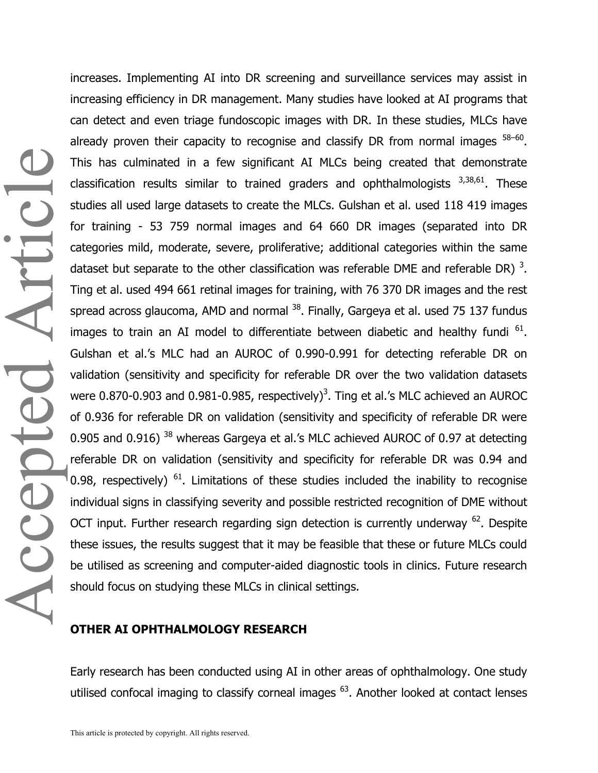increases. Implementing AI into DR screening and surveillance services may assist in increasing efficiency in DR management. Many studies have looked at AI programs that can detect and even triage fundoscopic images with DR. In these studies, MLCs have already proven their capacity to recognise and classify DR from normal images  $58-60$  $58-60$ . This has culminated in a few significant AI MLCs being created that demonstrate classification results similar to trained graders and ophthalmologists  $3,38,61$ . These studies all used large datasets to create the MLCs. Gulshan et al. used 118 419 images for training - 53 759 normal images and 64 660 DR images (separated into DR categories mild, moderate, severe, proliferative; additional categories within the same dataset but separate to the other classification was referable DME and referable DR)  $^3$  $^3$ . Ting et al. used 494 661 retinal images for training, with 76 370 DR images and the rest spread across glaucoma, AMD and normal <sup>[38](https://paperpile.com/c/PHVQtU/IcT8)</sup>. Finally, Gargeya et al. used 75 137 fundus images to train an AI model to differentiate between diabetic and healthy fundi  $61$ . Gulshan et al."s MLC had an AUROC of 0.990-0.991 for detecting referable DR on validation (sensitivity and specificity for referable DR over the two validation datasets were 0.870-0.90[3](https://paperpile.com/c/PHVQtU/QvfU) and 0.981-0.985, respectively)<sup>3</sup>. Ting et al.'s MLC achieved an AUROC of 0.936 for referable DR on validation (sensitivity and specificity of referable DR were 0.905 and 0.916)<sup>[38](https://paperpile.com/c/PHVQtU/IcT8)</sup> whereas Gargeya et al.'s MLC achieved AUROC of 0.97 at detecting referable DR on validation (sensitivity and specificity for referable DR was 0.94 and 0.98, respectively)  $61$ . Limitations of these studies included the inability to recognise individual signs in classifying severity and possible restricted recognition of DME without OCT input. Further research regarding sign detection is currently underway <sup>[62](https://paperpile.com/c/PHVQtU/plGa)</sup>. Despite these issues, the results suggest that it may be feasible that these or future MLCs could be utilised as screening and computer-aided diagnostic tools in clinics. Future research should focus on studying these MLCs in clinical settings.

#### **OTHER AI OPHTHALMOLOGY RESEARCH**

Early research has been conducted using AI in other areas of ophthalmology. One study utilised confocal imaging to classify corneal images  $63$ . Another looked at contact lenses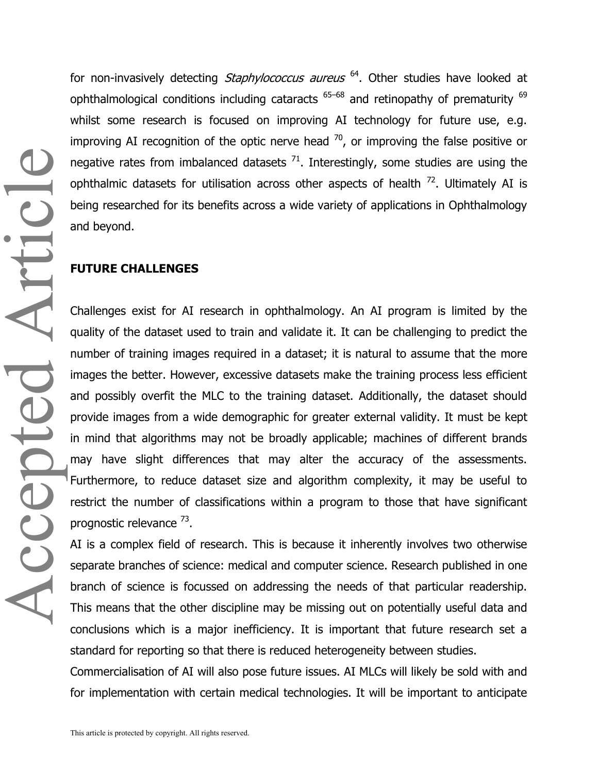Accepted Article Accepted Articl

for non-invasively detecting *Staphylococcus aureus* <sup>[64](https://paperpile.com/c/PHVQtU/3U5y)</sup>. Other studies have looked at ophthalmological conditions including cataracts  $65-68$  $65-68$  and retinopathy of prematurity  $69$ whilst some research is focused on improving AI technology for future use, e.g. improving AI recognition of the optic nerve head  $\frac{70}{1}$  $\frac{70}{1}$  $\frac{70}{1}$ , or improving the false positive or negative rates from imbalanced datasets  $^{71}$  $^{71}$  $^{71}$ . Interestingly, some studies are using the ophthalmic datasets for utilisation across other aspects of health  $<sup>72</sup>$  $<sup>72</sup>$  $<sup>72</sup>$ . Ultimately AI is</sup> being researched for its benefits across a wide variety of applications in Ophthalmology and beyond.

## **FUTURE CHALLENGES**

Challenges exist for AI research in ophthalmology. An AI program is limited by the quality of the dataset used to train and validate it. It can be challenging to predict the number of training images required in a dataset; it is natural to assume that the more images the better. However, excessive datasets make the training process less efficient and possibly overfit the MLC to the training dataset. Additionally, the dataset should provide images from a wide demographic for greater external validity. It must be kept in mind that algorithms may not be broadly applicable; machines of different brands may have slight differences that may alter the accuracy of the assessments. Furthermore, to reduce dataset size and algorithm complexity, it may be useful to restrict the number of classifications within a program to those that have significant prognostic relevance <sup>[73](https://paperpile.com/c/PHVQtU/m9bo)</sup>.

AI is a complex field of research. This is because it inherently involves two otherwise separate branches of science: medical and computer science. Research published in one branch of science is focussed on addressing the needs of that particular readership. This means that the other discipline may be missing out on potentially useful data and conclusions which is a major inefficiency. It is important that future research set a standard for reporting so that there is reduced heterogeneity between studies.

Commercialisation of AI will also pose future issues. AI MLCs will likely be sold with and for implementation with certain medical technologies. It will be important to anticipate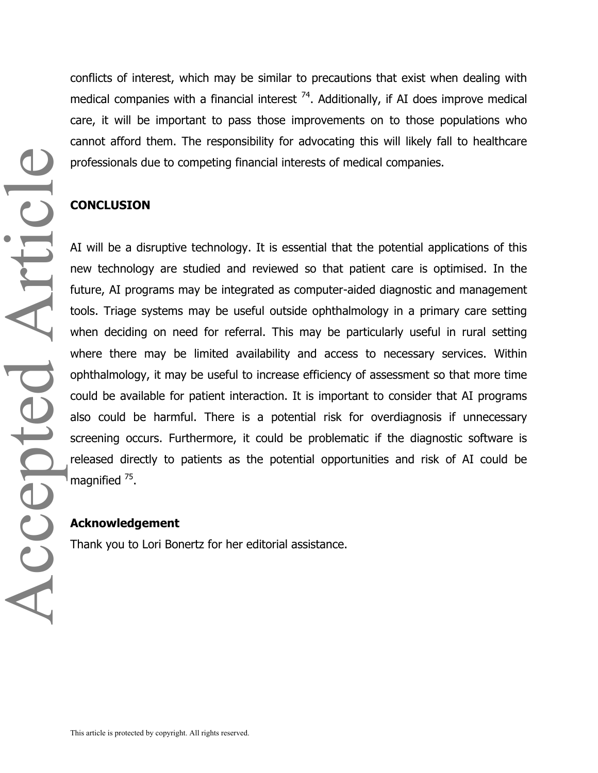conflicts of interest, which may be similar to precautions that exist when dealing with medical companies with a financial interest  $^{74}$  $^{74}$  $^{74}$ . Additionally, if AI does improve medical care, it will be important to pass those improvements on to those populations who cannot afford them. The responsibility for advocating this will likely fall to healthcare professionals due to competing financial interests of medical companies.

## **CONCLUSION**

AI will be a disruptive technology. It is essential that the potential applications of this new technology are studied and reviewed so that patient care is optimised. In the future, AI programs may be integrated as computer-aided diagnostic and management tools. Triage systems may be useful outside ophthalmology in a primary care setting when deciding on need for referral. This may be particularly useful in rural setting where there may be limited availability and access to necessary services. Within ophthalmology, it may be useful to increase efficiency of assessment so that more time could be available for patient interaction. It is important to consider that AI programs also could be harmful. There is a potential risk for overdiagnosis if unnecessary screening occurs. Furthermore, it could be problematic if the diagnostic software is released directly to patients as the potential opportunities and risk of AI could be magnified <sup>[75](https://paperpile.com/c/PHVQtU/uS71)</sup>.

## **Acknowledgement**

Thank you to Lori Bonertz for her editorial assistance.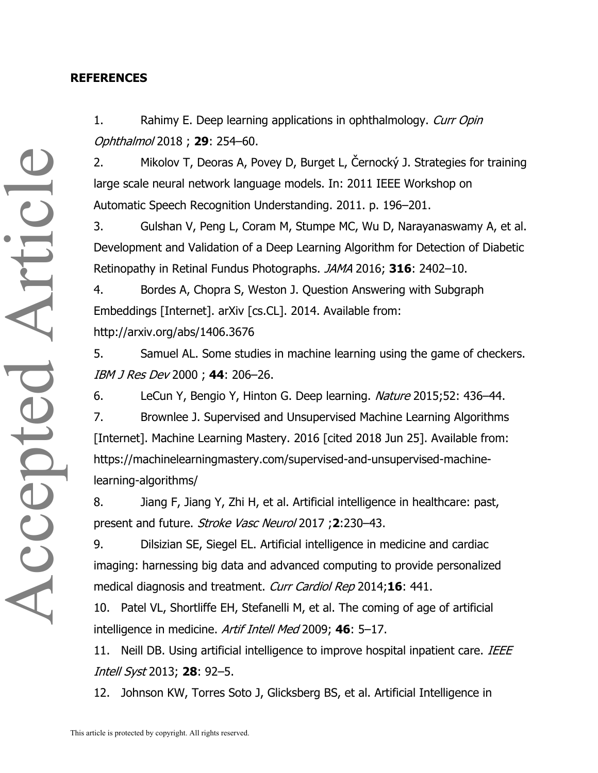## **REFERENCES**

1. [Rahimy E. Deep learning applications in ophthalmology.](http://paperpile.com/b/PHVQtU/yB5g) Curr Opin [Ophthalmol](http://paperpile.com/b/PHVQtU/yB5g) [2018 ;](http://paperpile.com/b/PHVQtU/yB5g) **[29](http://paperpile.com/b/PHVQtU/yB5g)**[: 254](http://paperpile.com/b/PHVQtU/yB5g)–60.

2. [Mikolov T, Deoras A, Povey D, Burget L, Černocký J. Strategies for training](http://paperpile.com/b/PHVQtU/OE1T)  [large scale neural network language models. In: 2011 IEEE Workshop on](http://paperpile.com/b/PHVQtU/OE1T)  [Automatic Speech Recognition Understanding. 2011. p. 196](http://paperpile.com/b/PHVQtU/OE1T)–201.

3. [Gulshan V, Peng L, Coram M, Stumpe MC, Wu D, Narayanaswamy A, et al.](http://paperpile.com/b/PHVQtU/QvfU)  [Development and Validation of a Deep Learning Algorithm for Detection of Diabetic](http://paperpile.com/b/PHVQtU/QvfU)  [Retinopathy in Retinal Fundus Photographs.](http://paperpile.com/b/PHVQtU/QvfU) [JAMA](http://paperpile.com/b/PHVQtU/QvfU) [2016;](http://paperpile.com/b/PHVQtU/QvfU) **[316](http://paperpile.com/b/PHVQtU/QvfU)**[: 2402](http://paperpile.com/b/PHVQtU/QvfU)–10.

4. [Bordes A, Chopra S, Weston J. Question Answering with Subgraph](http://paperpile.com/b/PHVQtU/8uca)  [Embeddings \[Internet\]. arXiv \[cs.CL\]. 2014. Available from:](http://paperpile.com/b/PHVQtU/8uca) <http://arxiv.org/abs/1406.3676>

5. [Samuel AL. Some studies in machine learning using the game of checkers.](http://paperpile.com/b/PHVQtU/Q2ml)  [IBM J Res Dev](http://paperpile.com/b/PHVQtU/Q2ml) [2000 ;](http://paperpile.com/b/PHVQtU/Q2ml) **[44](http://paperpile.com/b/PHVQtU/Q2ml)**[: 206](http://paperpile.com/b/PHVQtU/Q2ml)–26.

6. [LeCun Y, Bengio Y, Hinton G. Deep learning.](http://paperpile.com/b/PHVQtU/5LV7) [Nature](http://paperpile.com/b/PHVQtU/5LV7) [2015;52: 436](http://paperpile.com/b/PHVQtU/5LV7)–44.

7. [Brownlee J. Supervised and Unsupervised Machine Learning Algorithms](http://paperpile.com/b/PHVQtU/pwtv)  [\[Internet\]. Machine Learning Mastery. 2016 \[cited 2018 Jun 25\]. Available from:](http://paperpile.com/b/PHVQtU/pwtv) [https://machinelearningmastery.com/supervised-and-unsupervised-machine](https://machinelearningmastery.com/supervised-and-unsupervised-machine-learning-algorithms/)[learning-algorithms/](https://machinelearningmastery.com/supervised-and-unsupervised-machine-learning-algorithms/)

8. [Jiang F, Jiang Y, Zhi H, et al. Artificial intelligence in healthcare: past,](http://paperpile.com/b/PHVQtU/MxJp)  [present and future.](http://paperpile.com/b/PHVQtU/MxJp) [Stroke Vasc Neurol](http://paperpile.com/b/PHVQtU/MxJp) [2017 ;](http://paperpile.com/b/PHVQtU/MxJp)**[2](http://paperpile.com/b/PHVQtU/MxJp)**[:230](http://paperpile.com/b/PHVQtU/MxJp)–43.

9. Dilsizian SE, Siegel EL. [Artificial intelligence in medicine and cardiac](http://paperpile.com/b/PHVQtU/nRER)  [imaging: harnessing big data and advanced computing to provide personalized](http://paperpile.com/b/PHVQtU/nRER)  [medical diagnosis and treatment.](http://paperpile.com/b/PHVQtU/nRER) [Curr Cardiol Rep](http://paperpile.com/b/PHVQtU/nRER) [2014;](http://paperpile.com/b/PHVQtU/nRER)**[16](http://paperpile.com/b/PHVQtU/nRER)**[: 441.](http://paperpile.com/b/PHVQtU/nRER)

10. [Patel VL, Shortliffe EH, Stefanelli M, et al. The coming of age of artificial](http://paperpile.com/b/PHVQtU/E4D5)  [intelligence in medicine.](http://paperpile.com/b/PHVQtU/E4D5) [Artif Intell Med](http://paperpile.com/b/PHVQtU/E4D5) [2009;](http://paperpile.com/b/PHVQtU/E4D5) **[46](http://paperpile.com/b/PHVQtU/E4D5)**: 5–[17.](http://paperpile.com/b/PHVQtU/E4D5)

11. [Neill DB. Using artificial intelligence to improve hospital inpatient care.](http://paperpile.com/b/PHVQtU/A6mR) IEEE [Intell Syst](http://paperpile.com/b/PHVQtU/A6mR) [2013;](http://paperpile.com/b/PHVQtU/A6mR) **[28](http://paperpile.com/b/PHVQtU/A6mR)**[: 92](http://paperpile.com/b/PHVQtU/A6mR)–5.

12. [Johnson KW, Torres Soto J, Glicksberg BS, et al. Artificial Intelligence in](http://paperpile.com/b/PHVQtU/evZd)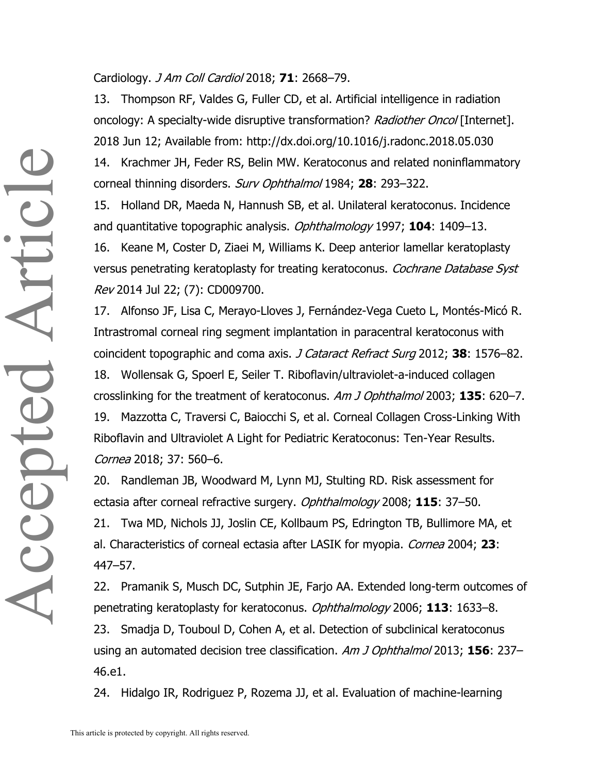### [Cardiology.](http://paperpile.com/b/PHVQtU/evZd) [J Am Coll Cardiol](http://paperpile.com/b/PHVQtU/evZd) [2018;](http://paperpile.com/b/PHVQtU/evZd) **[71](http://paperpile.com/b/PHVQtU/evZd)**[: 2668](http://paperpile.com/b/PHVQtU/evZd)–79.

13. [Thompson RF, Valdes G, Fuller CD, et al. Artificial intelligence in radiation](http://paperpile.com/b/PHVQtU/E2UJ)  [oncology: A specialty-wide disruptive transformation?](http://paperpile.com/b/PHVQtU/E2UJ) [Radiother Oncol](http://paperpile.com/b/PHVQtU/E2UJ) [Internet]. [2018 Jun 12; Available from:](http://paperpile.com/b/PHVQtU/E2UJ) [http://dx.doi.org/10.1016/j.radonc.2018.05.030](http://paperpile.com/b/PHVQtU/E2UJ) 14. [Krachmer JH, Feder RS, Belin MW. Keratoconus and related noninflammatory](http://paperpile.com/b/PHVQtU/GG7S) 

[corneal thinning disorders.](http://paperpile.com/b/PHVQtU/GG7S) [Surv Ophthalmol](http://paperpile.com/b/PHVQtU/GG7S) [1984;](http://paperpile.com/b/PHVQtU/GG7S) **[28](http://paperpile.com/b/PHVQtU/GG7S)**[: 293](http://paperpile.com/b/PHVQtU/GG7S)–322.

15. [Holland DR, Maeda N, Hannush SB, et al. Unilateral keratoconus. Incidence](http://paperpile.com/b/PHVQtU/NaKe)  [and quantitative topographic analysis.](http://paperpile.com/b/PHVQtU/NaKe) [Ophthalmology](http://paperpile.com/b/PHVQtU/NaKe) [1997;](http://paperpile.com/b/PHVQtU/NaKe) **[104](http://paperpile.com/b/PHVQtU/NaKe)**[: 1409](http://paperpile.com/b/PHVQtU/NaKe)–13.

16. [Keane M, Coster D, Ziaei M, Williams K. Deep anterior lamellar keratoplasty](http://paperpile.com/b/PHVQtU/oHu2)  [versus penetrating keratoplasty for treating keratoconus.](http://paperpile.com/b/PHVQtU/oHu2) Cochrane Database Syst [Rev](http://paperpile.com/b/PHVQtU/oHu2) [2014 Jul 22; \(7\): CD009700.](http://paperpile.com/b/PHVQtU/oHu2)

17. [Alfonso JF, Lisa C, Merayo-Lloves J, Fernández-Vega Cueto L, Montés-Micó R.](http://paperpile.com/b/PHVQtU/7mF9)  [Intrastromal corneal ring segment implantation in paracentral keratoconus with](http://paperpile.com/b/PHVQtU/7mF9)  [coincident topographic and coma axis.](http://paperpile.com/b/PHVQtU/7mF9) [J Cataract Refract Surg](http://paperpile.com/b/PHVQtU/7mF9) [2012;](http://paperpile.com/b/PHVQtU/7mF9) **[38](http://paperpile.com/b/PHVQtU/7mF9)**[: 1576](http://paperpile.com/b/PHVQtU/7mF9)–82. 18. [Wollensak G, Spoerl E, Seiler T. Riboflavin/ultraviolet-a-induced collagen](http://paperpile.com/b/PHVQtU/VUIf)  [crosslinking for the treatment of keratoconus.](http://paperpile.com/b/PHVQtU/VUIf) [Am J Ophthalmol](http://paperpile.com/b/PHVQtU/VUIf) [2003;](http://paperpile.com/b/PHVQtU/VUIf) **[135](http://paperpile.com/b/PHVQtU/VUIf)**[: 620](http://paperpile.com/b/PHVQtU/VUIf)–7. 19. [Mazzotta C, Traversi C, Baiocchi S, et al. Corneal Collagen Cross-Linking With](http://paperpile.com/b/PHVQtU/UuhM)  [Riboflavin and Ultraviolet A Light for Pediatric Keratoconus: Ten-Year Results.](http://paperpile.com/b/PHVQtU/UuhM)  [Cornea](http://paperpile.com/b/PHVQtU/UuhM) [2018; 37: 560](http://paperpile.com/b/PHVQtU/UuhM)–6.

20. [Randleman JB, Woodward M, Lynn MJ, Stulting RD. Risk assessment for](http://paperpile.com/b/PHVQtU/Q5ze)  [ectasia after corneal refractive surgery.](http://paperpile.com/b/PHVQtU/Q5ze) [Ophthalmology](http://paperpile.com/b/PHVQtU/Q5ze) [2008;](http://paperpile.com/b/PHVQtU/Q5ze) **[115](http://paperpile.com/b/PHVQtU/Q5ze)**[: 37](http://paperpile.com/b/PHVQtU/Q5ze)–50.

21. [Twa MD, Nichols JJ, Joslin CE, Kollbaum PS, Edrington TB, Bullimore MA, et](http://paperpile.com/b/PHVQtU/i3tP)  [al. Characteristics of corneal ectasia after LASIK for myopia.](http://paperpile.com/b/PHVQtU/i3tP) [Cornea](http://paperpile.com/b/PHVQtU/i3tP) [2004;](http://paperpile.com/b/PHVQtU/i3tP) **[23](http://paperpile.com/b/PHVQtU/i3tP)**[:](http://paperpile.com/b/PHVQtU/i3tP)  [447](http://paperpile.com/b/PHVQtU/i3tP)–57.

22. [Pramanik S, Musch DC, Sutphin JE, Farjo AA. Extended long-term outcomes of](http://paperpile.com/b/PHVQtU/bIs9)  [penetrating keratoplasty for keratoconus.](http://paperpile.com/b/PHVQtU/bIs9) [Ophthalmology](http://paperpile.com/b/PHVQtU/bIs9) [2006;](http://paperpile.com/b/PHVQtU/bIs9) **[113](http://paperpile.com/b/PHVQtU/bIs9)**[: 1633](http://paperpile.com/b/PHVQtU/bIs9)–8. 23. [Smadja D, Touboul D, Cohen A, et al. Detection of subclinical keratoconus](http://paperpile.com/b/PHVQtU/z1TL)  [using an automated decision tree classification.](http://paperpile.com/b/PHVQtU/z1TL) [Am J Ophthalmol](http://paperpile.com/b/PHVQtU/z1TL) [2013;](http://paperpile.com/b/PHVQtU/z1TL) **[156](http://paperpile.com/b/PHVQtU/z1TL)**[: 237](http://paperpile.com/b/PHVQtU/z1TL)– [46.e1.](http://paperpile.com/b/PHVQtU/z1TL)

24. [Hidalgo IR, Rodriguez P, Rozema JJ, et al. Evaluation of machine-learning](http://paperpile.com/b/PHVQtU/c2xo)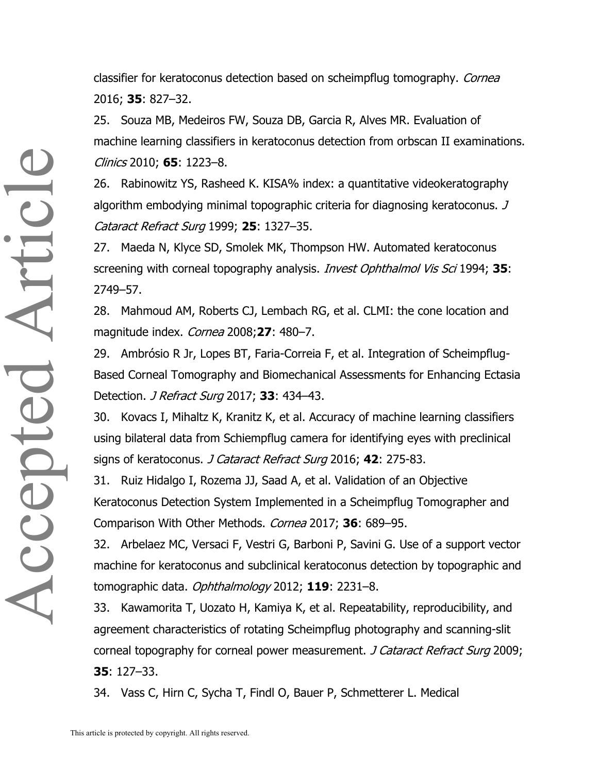[classifier for keratoconus detection based on scheimpflug tomography.](http://paperpile.com/b/PHVQtU/c2xo) [Cornea](http://paperpile.com/b/PHVQtU/c2xo) [2016;](http://paperpile.com/b/PHVQtU/c2xo) **[35](http://paperpile.com/b/PHVQtU/c2xo)**[: 827](http://paperpile.com/b/PHVQtU/c2xo)–32.

25. [Souza MB, Medeiros FW, Souza DB, Garcia R, Alves MR. Evaluation of](http://paperpile.com/b/PHVQtU/iEL2)  [machine learning classifiers in keratoconus detection from orbscan II examinations.](http://paperpile.com/b/PHVQtU/iEL2)  [Clinics](http://paperpile.com/b/PHVQtU/iEL2) [2010;](http://paperpile.com/b/PHVQtU/iEL2) **[65](http://paperpile.com/b/PHVQtU/iEL2)**[: 1223](http://paperpile.com/b/PHVQtU/iEL2)–8.

26. [Rabinowitz YS, Rasheed K. KISA% index: a quantitative videokeratography](http://paperpile.com/b/PHVQtU/7sGS)  [algorithm embodying minimal topographic criteria for diagnosing keratoconus.](http://paperpile.com/b/PHVQtU/7sGS) J [Cataract Refract Surg](http://paperpile.com/b/PHVQtU/7sGS) [1999;](http://paperpile.com/b/PHVQtU/7sGS) **[25](http://paperpile.com/b/PHVQtU/7sGS)**[: 1327](http://paperpile.com/b/PHVQtU/7sGS)–35.

27. [Maeda N, Klyce SD, Smolek MK, Thompson HW. Automated keratoconus](http://paperpile.com/b/PHVQtU/5okz)  [screening with corneal topography analysis.](http://paperpile.com/b/PHVQtU/5okz) [Invest Ophthalmol Vis Sci](http://paperpile.com/b/PHVQtU/5okz) [1994;](http://paperpile.com/b/PHVQtU/5okz) **[35](http://paperpile.com/b/PHVQtU/5okz)**[:](http://paperpile.com/b/PHVQtU/5okz)  [2749](http://paperpile.com/b/PHVQtU/5okz)–57.

28. [Mahmoud AM, Roberts CJ, Lembach RG, et al. CLMI: the cone location and](http://paperpile.com/b/PHVQtU/RhvK)  [magnitude index.](http://paperpile.com/b/PHVQtU/RhvK) [Cornea](http://paperpile.com/b/PHVQtU/RhvK) [2008;](http://paperpile.com/b/PHVQtU/RhvK)**[27](http://paperpile.com/b/PHVQtU/RhvK)**[: 480](http://paperpile.com/b/PHVQtU/RhvK)–7.

29. [Ambrósio R Jr, Lopes BT, Faria-Correia F, et al. Integration of Scheimpflug-](http://paperpile.com/b/PHVQtU/eSKQ)[Based Corneal Tomography and Biomechanical Assessments for Enhancing Ectasia](http://paperpile.com/b/PHVQtU/eSKQ)  [Detection.](http://paperpile.com/b/PHVQtU/eSKQ) [J Refract Surg](http://paperpile.com/b/PHVQtU/eSKQ) [2017;](http://paperpile.com/b/PHVQtU/eSKQ) **[33](http://paperpile.com/b/PHVQtU/eSKQ)**[: 434](http://paperpile.com/b/PHVQtU/eSKQ)–43.

30. [Kovacs I, Mihaltz K, Kranitz K, et al. Accuracy of machine learning classifiers](http://paperpile.com/b/PHVQtU/jQEB)  [using bilateral data from Schiempflug camera for identifying eyes with preclinical](http://paperpile.com/b/PHVQtU/jQEB)  [signs of keratoconus.](http://paperpile.com/b/PHVQtU/jQEB) [J Cataract Refract Surg](http://paperpile.com/b/PHVQtU/jQEB) [2016;](http://paperpile.com/b/PHVQtU/jQEB) **42**: 275-83.

31. [Ruiz Hidalgo I, Rozema JJ, Saad A, et al. Validation of an Objective](http://paperpile.com/b/PHVQtU/Lszv)  [Keratoconus Detection System Implemented in a Scheimpflug Tomographer and](http://paperpile.com/b/PHVQtU/Lszv)  [Comparison With Other Methods.](http://paperpile.com/b/PHVQtU/Lszv) [Cornea](http://paperpile.com/b/PHVQtU/Lszv) [2017;](http://paperpile.com/b/PHVQtU/Lszv) **[36](http://paperpile.com/b/PHVQtU/Lszv)**[: 689](http://paperpile.com/b/PHVQtU/Lszv)–95.

32. [Arbelaez MC, Versaci F, Vestri G, Barboni P, Savini G. Use of a support vector](http://paperpile.com/b/PHVQtU/ZMc2)  [machine for keratoconus and subclinical keratoconus detection by topographic and](http://paperpile.com/b/PHVQtU/ZMc2)  [tomographic data.](http://paperpile.com/b/PHVQtU/ZMc2) [Ophthalmology](http://paperpile.com/b/PHVQtU/ZMc2) [2012;](http://paperpile.com/b/PHVQtU/ZMc2) **[119](http://paperpile.com/b/PHVQtU/ZMc2)**[: 2231](http://paperpile.com/b/PHVQtU/ZMc2)–8.

33. [Kawamorita T, Uozato H, Kamiya K, et al. Repeatability, reproducibility, and](http://paperpile.com/b/PHVQtU/Dn6u)  [agreement characteristics of rotating Scheimpflug photography and scanning-slit](http://paperpile.com/b/PHVQtU/Dn6u)  [corneal topography for corneal power measurement.](http://paperpile.com/b/PHVQtU/Dn6u) [J Cataract Refract Surg](http://paperpile.com/b/PHVQtU/Dn6u) 2009; **[35](http://paperpile.com/b/PHVQtU/Dn6u)**[: 127](http://paperpile.com/b/PHVQtU/Dn6u)–33.

34. [Vass C, Hirn C, Sycha T, Findl O, Bauer P, Schmetterer L. Medical](http://paperpile.com/b/PHVQtU/HSsy)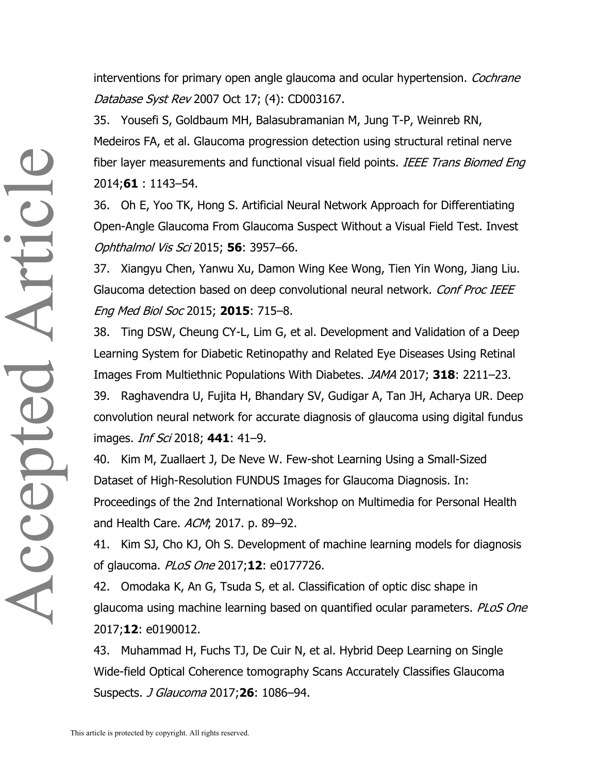[interventions for primary open angle glaucoma and ocular hypertension.](http://paperpile.com/b/PHVQtU/HSsy) Cochrane [Database Syst Rev](http://paperpile.com/b/PHVQtU/HSsy) [2007 Oct 17; \(4\): CD003167.](http://paperpile.com/b/PHVQtU/HSsy)

35. [Yousefi S, Goldbaum MH, Balasubramanian M, Jung T-P, Weinreb RN,](http://paperpile.com/b/PHVQtU/bdnn)  [Medeiros FA, et al. Glaucoma progression detection using structural retinal nerve](http://paperpile.com/b/PHVQtU/bdnn)  [fiber layer measurements and functional visual field points.](http://paperpile.com/b/PHVQtU/bdnn) [IEEE Trans Biomed Eng](http://paperpile.com/b/PHVQtU/bdnn) [2014;](http://paperpile.com/b/PHVQtU/bdnn)**[61](http://paperpile.com/b/PHVQtU/bdnn)** [: 1143](http://paperpile.com/b/PHVQtU/bdnn)–54.

36. [Oh E, Yoo TK, Hong S. Artificial Neural Network Approach for Differentiating](http://paperpile.com/b/PHVQtU/m3WF)  [Open-Angle Glaucoma From Glaucoma Suspect Without a Visual Field Test. Invest](http://paperpile.com/b/PHVQtU/m3WF)  [Ophthalmol Vis Sci](http://paperpile.com/b/PHVQtU/m3WF) [2015;](http://paperpile.com/b/PHVQtU/m3WF) **[56](http://paperpile.com/b/PHVQtU/m3WF)**[: 3957](http://paperpile.com/b/PHVQtU/m3WF)–66.

37. [Xiangyu Chen, Yanwu Xu, Damon Wing Kee Wong, Tien Yin Wong, Jiang Liu.](http://paperpile.com/b/PHVQtU/TuVw)  [Glaucoma detection based on deep convolutional neural network.](http://paperpile.com/b/PHVQtU/TuVw) Conf Proc IEEE [Eng Med Biol Soc](http://paperpile.com/b/PHVQtU/TuVw) [2015;](http://paperpile.com/b/PHVQtU/TuVw) **[2015](http://paperpile.com/b/PHVQtU/TuVw)**[: 715](http://paperpile.com/b/PHVQtU/TuVw)–8.

38. [Ting DSW, Cheung CY-L, Lim G, et al. Development and Validation of a Deep](http://paperpile.com/b/PHVQtU/IcT8)  [Learning System for Diabetic Retinopathy and Related Eye Diseases Using Retinal](http://paperpile.com/b/PHVQtU/IcT8)  [Images From Multiethnic Populations With Diabetes.](http://paperpile.com/b/PHVQtU/IcT8) [JAMA](http://paperpile.com/b/PHVQtU/IcT8) [2017;](http://paperpile.com/b/PHVQtU/IcT8) **[318](http://paperpile.com/b/PHVQtU/IcT8)**[: 2211](http://paperpile.com/b/PHVQtU/IcT8)–23.

39. [Raghavendra U, Fujita H, Bhandary SV, Gudigar A, Tan JH, Acharya UR. Deep](http://paperpile.com/b/PHVQtU/lU0J)  [convolution neural network for accurate diagnosis of glaucoma using digital fundus](http://paperpile.com/b/PHVQtU/lU0J)  [images.](http://paperpile.com/b/PHVQtU/lU0J) [Inf Sci](http://paperpile.com/b/PHVQtU/lU0J) [2018;](http://paperpile.com/b/PHVQtU/lU0J) **[441](http://paperpile.com/b/PHVQtU/lU0J)**[: 41](http://paperpile.com/b/PHVQtU/lU0J)–9.

40. [Kim M, Zuallaert J, De Neve W. Few-shot Learning Using a Small-Sized](http://paperpile.com/b/PHVQtU/yLW1)  [Dataset of High-Resolution FUNDUS Images for Glaucoma Diagnosis. In:](http://paperpile.com/b/PHVQtU/yLW1)  [Proceedings of the 2nd International Workshop on Multimedia for Personal Health](http://paperpile.com/b/PHVQtU/yLW1)  [and Health Care.](http://paperpile.com/b/PHVQtU/yLW1) [ACM](http://paperpile.com/b/PHVQtU/yLW1)[; 2017. p. 89](http://paperpile.com/b/PHVQtU/yLW1)-92.

41. [Kim SJ, Cho KJ, Oh S. Development of machine learning models for diagnosis](http://paperpile.com/b/PHVQtU/cNfy)  [of glaucoma.](http://paperpile.com/b/PHVQtU/cNfy) [PLoS One](http://paperpile.com/b/PHVQtU/cNfy) [2017;](http://paperpile.com/b/PHVQtU/cNfy)**[12](http://paperpile.com/b/PHVQtU/cNfy)**[: e0177726.](http://paperpile.com/b/PHVQtU/cNfy)

42. [Omodaka K, An G, Tsuda S, et al. Classification of optic disc shape in](http://paperpile.com/b/PHVQtU/0jRa)  [glaucoma using machine learning based on quantified ocular parameters.](http://paperpile.com/b/PHVQtU/0jRa) [PLoS One](http://paperpile.com/b/PHVQtU/0jRa) [2017;](http://paperpile.com/b/PHVQtU/0jRa)**[12](http://paperpile.com/b/PHVQtU/0jRa)**[: e0190012.](http://paperpile.com/b/PHVQtU/0jRa)

43. [Muhammad H, Fuchs TJ, De Cuir N, et al. Hybrid Deep Learning on Single](http://paperpile.com/b/PHVQtU/4aXP)  [Wide-field Optical Coherence tomography Scans Accurately Classifies Glaucoma](http://paperpile.com/b/PHVQtU/4aXP)  [Suspects.](http://paperpile.com/b/PHVQtU/4aXP) [J Glaucoma](http://paperpile.com/b/PHVQtU/4aXP) [2017;](http://paperpile.com/b/PHVQtU/4aXP)**[26](http://paperpile.com/b/PHVQtU/4aXP)**[: 1086](http://paperpile.com/b/PHVQtU/4aXP)–94.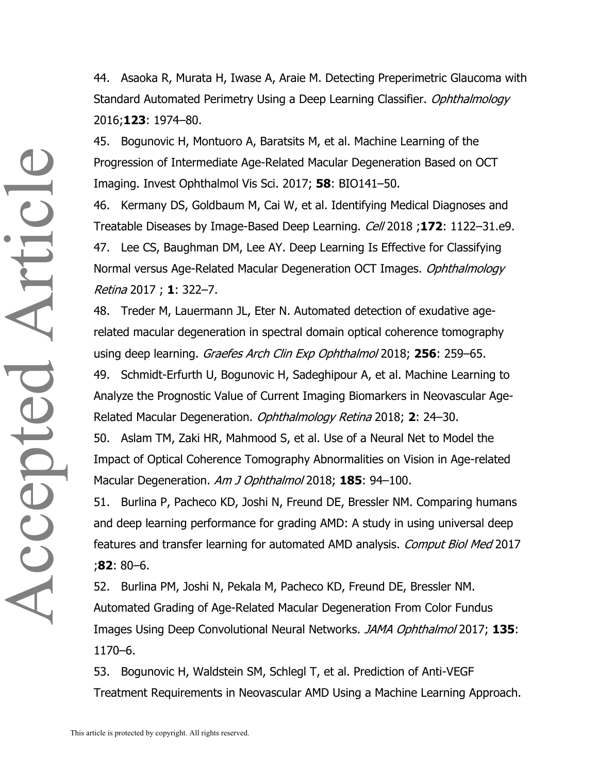44. [Asaoka R, Murata H, Iwase A, Araie M. Detecting Preperimetric Glaucoma with](http://paperpile.com/b/PHVQtU/k6b5)  [Standard Automated Perimetry Using a Deep Learning Classifier.](http://paperpile.com/b/PHVQtU/k6b5) [Ophthalmology](http://paperpile.com/b/PHVQtU/k6b5) [2016;](http://paperpile.com/b/PHVQtU/k6b5)**[123](http://paperpile.com/b/PHVQtU/k6b5)**[: 1974](http://paperpile.com/b/PHVQtU/k6b5)–80.

45. [Bogunovic H, Montuoro A, Baratsits M, et al. Machine Learning of the](http://paperpile.com/b/PHVQtU/ssZA)  [Progression of Intermediate Age-Related Macular Degeneration Based on OCT](http://paperpile.com/b/PHVQtU/ssZA)  [Imaging. Invest Ophthalmol Vis Sci. 2017;](http://paperpile.com/b/PHVQtU/ssZA) **[58](http://paperpile.com/b/PHVQtU/ssZA)**[: BIO141](http://paperpile.com/b/PHVQtU/ssZA)–50.

46. [Kermany DS, Goldbaum M, Cai W, et al. Identifying Medical Diagnoses and](http://paperpile.com/b/PHVQtU/c5wi)  [Treatable Diseases by Image-Based Deep Learning.](http://paperpile.com/b/PHVQtU/c5wi) [Cell](http://paperpile.com/b/PHVQtU/c5wi) [2018 ;](http://paperpile.com/b/PHVQtU/c5wi)**[172](http://paperpile.com/b/PHVQtU/c5wi)**[: 1122](http://paperpile.com/b/PHVQtU/c5wi)–31.e9. 47. [Lee CS, Baughman DM, Lee AY. Deep Learning Is Effective for Classifying](http://paperpile.com/b/PHVQtU/2MRP)  [Normal versus Age-Related Macular Degeneration OCT Images.](http://paperpile.com/b/PHVQtU/2MRP) [Ophthalmology](http://paperpile.com/b/PHVQtU/2MRP)  [Retina](http://paperpile.com/b/PHVQtU/2MRP) [2017 ;](http://paperpile.com/b/PHVQtU/2MRP) **[1](http://paperpile.com/b/PHVQtU/2MRP)**[: 322](http://paperpile.com/b/PHVQtU/2MRP)–7.

48. [Treder M, Lauermann JL, Eter N. Automated detection of exudative age](http://paperpile.com/b/PHVQtU/NzQL)[related macular degeneration in spectral domain optical coherence tomography](http://paperpile.com/b/PHVQtU/NzQL)  [using deep learning.](http://paperpile.com/b/PHVQtU/NzQL) [Graefes Arch Clin Exp Ophthalmol](http://paperpile.com/b/PHVQtU/NzQL) [2018;](http://paperpile.com/b/PHVQtU/NzQL) **[256](http://paperpile.com/b/PHVQtU/NzQL)**[: 259](http://paperpile.com/b/PHVQtU/NzQL)–65.

49. [Schmidt-Erfurth U, Bogunovic H, Sadeghipour A, et al. Machine Learning to](http://paperpile.com/b/PHVQtU/4eU5)  [Analyze the Prognostic Value of Current Imaging Biomarkers in](http://paperpile.com/b/PHVQtU/4eU5) Neovascular Age-[Related Macular Degeneration.](http://paperpile.com/b/PHVQtU/4eU5) [Ophthalmology Retina](http://paperpile.com/b/PHVQtU/4eU5) [2018;](http://paperpile.com/b/PHVQtU/4eU5) **[2](http://paperpile.com/b/PHVQtU/4eU5)**[: 24](http://paperpile.com/b/PHVQtU/4eU5)–30.

50. [Aslam TM, Zaki HR, Mahmood S, et al. Use of a Neural Net to Model the](http://paperpile.com/b/PHVQtU/rO2Z)  [Impact of Optical Coherence Tomography Abnormalities on Vision in Age-related](http://paperpile.com/b/PHVQtU/rO2Z)  Macular [Degeneration.](http://paperpile.com/b/PHVQtU/rO2Z) [Am J Ophthalmol](http://paperpile.com/b/PHVQtU/rO2Z) [2018;](http://paperpile.com/b/PHVQtU/rO2Z) **[185](http://paperpile.com/b/PHVQtU/rO2Z)**: 94–[100.](http://paperpile.com/b/PHVQtU/rO2Z)

51. [Burlina P, Pacheco KD, Joshi N, Freund DE, Bressler NM. Comparing humans](http://paperpile.com/b/PHVQtU/LFnF)  [and deep learning performance for grading AMD: A study in using universal deep](http://paperpile.com/b/PHVQtU/LFnF)  [features and transfer learning for automated AMD analysis.](http://paperpile.com/b/PHVQtU/LFnF) [Comput Biol Med](http://paperpile.com/b/PHVQtU/LFnF) 2017 [;](http://paperpile.com/b/PHVQtU/LFnF)**[82](http://paperpile.com/b/PHVQtU/LFnF)**[: 80](http://paperpile.com/b/PHVQtU/LFnF)–6.

52. [Burlina PM, Joshi N, Pekala M, Pacheco KD, Freund DE, Bressler NM.](http://paperpile.com/b/PHVQtU/9Hus)  [Automated Grading of Age-Related Macular Degeneration From Color Fundus](http://paperpile.com/b/PHVQtU/9Hus)  [Images Using Deep Convolutional Neural Networks.](http://paperpile.com/b/PHVQtU/9Hus) [JAMA Ophthalmol](http://paperpile.com/b/PHVQtU/9Hus) [2017;](http://paperpile.com/b/PHVQtU/9Hus) **[135](http://paperpile.com/b/PHVQtU/9Hus)**[:](http://paperpile.com/b/PHVQtU/9Hus)  [1170](http://paperpile.com/b/PHVQtU/9Hus)–6.

53. [Bogunovic H, Waldstein SM, Schlegl T, et al. Prediction of Anti-VEGF](http://paperpile.com/b/PHVQtU/mjc5)  [Treatment Requirements in Neovascular AMD Using a Machine Learning Approach.](http://paperpile.com/b/PHVQtU/mjc5)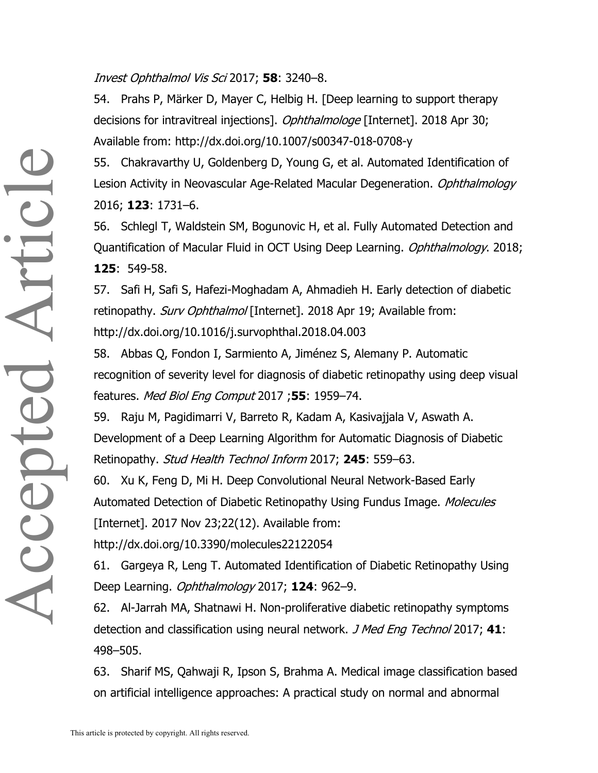[Invest Ophthalmol Vis Sci](http://paperpile.com/b/PHVQtU/mjc5) [2017;](http://paperpile.com/b/PHVQtU/mjc5) **[58](http://paperpile.com/b/PHVQtU/mjc5)**[: 3240](http://paperpile.com/b/PHVQtU/mjc5)–8.

54. [Prahs P, Märker D, Mayer C, Helbig H. \[Deep learning to support therapy](http://paperpile.com/b/PHVQtU/awyX)  [decisions for intravitreal injections\].](http://paperpile.com/b/PHVQtU/awyX) *[Ophthalmologe](http://paperpile.com/b/PHVQtU/awyX)* [Internet]. 2018 Apr 30; [Available from:](http://paperpile.com/b/PHVQtU/awyX) [http://dx.doi.org/10.1007/s00347-018-0708-y](http://paperpile.com/b/PHVQtU/awyX)

55. [Chakravarthy U, Goldenberg D, Young G, et al. Automated Identification of](http://paperpile.com/b/PHVQtU/TfTZ)  [Lesion Activity in Neovascular Age-Related Macular Degeneration.](http://paperpile.com/b/PHVQtU/TfTZ) [Ophthalmology](http://paperpile.com/b/PHVQtU/TfTZ) [2016;](http://paperpile.com/b/PHVQtU/TfTZ) **[123](http://paperpile.com/b/PHVQtU/TfTZ)**[: 1731](http://paperpile.com/b/PHVQtU/TfTZ)–6.

56. [Schlegl T, Waldstein SM, Bogunovic H, et al. Fully Automated Detection and](http://paperpile.com/b/PHVQtU/jxRd)  [Quantification of Macular Fluid in OCT Using Deep Learning.](http://paperpile.com/b/PHVQtU/jxRd) [Ophthalmology](http://paperpile.com/b/PHVQtU/jxRd)[. 2018;](http://paperpile.com/b/PHVQtU/jxRd)  **[125](http://paperpile.com/b/PHVQtU/jxRd)**[: 549-58.](http://paperpile.com/b/PHVQtU/jxRd)

57. [Safi H, Safi S, Hafezi-Moghadam A, Ahmadieh H. Early detection of diabetic](http://paperpile.com/b/PHVQtU/jqR5)  [retinopathy.](http://paperpile.com/b/PHVQtU/jqR5) [Surv Ophthalmol](http://paperpile.com/b/PHVQtU/jqR5) [\[Internet\]. 2018 Apr 19; Available from:](http://paperpile.com/b/PHVQtU/jqR5) <http://dx.doi.org/10.1016/j.survophthal.2018.04.003>

58. [Abbas Q, Fondon I, Sarmiento A, Jiménez S, Alemany P. Automatic](http://paperpile.com/b/PHVQtU/pEKa)  [recognition of severity level for diagnosis of diabetic retinopathy using deep visual](http://paperpile.com/b/PHVQtU/pEKa)  [features.](http://paperpile.com/b/PHVQtU/pEKa) [Med Biol Eng Comput](http://paperpile.com/b/PHVQtU/pEKa) [2017 ;](http://paperpile.com/b/PHVQtU/pEKa)**[55](http://paperpile.com/b/PHVQtU/pEKa)**[: 1959](http://paperpile.com/b/PHVQtU/pEKa)–74.

59. [Raju M, Pagidimarri V, Barreto R, Kadam A, Kasivajjala V, Aswath A.](http://paperpile.com/b/PHVQtU/yatI)  [Development of a Deep Learning Algorithm for Automatic Diagnosis of Diabetic](http://paperpile.com/b/PHVQtU/yatI)  [Retinopathy.](http://paperpile.com/b/PHVQtU/yatI) [Stud Health Technol Inform](http://paperpile.com/b/PHVQtU/yatI) [2017;](http://paperpile.com/b/PHVQtU/yatI) **[245](http://paperpile.com/b/PHVQtU/yatI)**[: 559](http://paperpile.com/b/PHVQtU/yatI)–63.

60. [Xu K, Feng D, Mi H. Deep Convolutional Neural Network-Based Early](http://paperpile.com/b/PHVQtU/ZbWV)  [Automated Detection of Diabetic Retinopathy Using Fundus Image.](http://paperpile.com/b/PHVQtU/ZbWV) [Molecules](http://paperpile.com/b/PHVQtU/ZbWV) [\[Internet\]. 2017 Nov 23;22\(12\). Available from:](http://paperpile.com/b/PHVQtU/ZbWV)

<http://dx.doi.org/10.3390/molecules22122054>

61. Gargeya R, Leng [T. Automated Identification of Diabetic Retinopathy Using](http://paperpile.com/b/PHVQtU/I338)  [Deep Learning.](http://paperpile.com/b/PHVQtU/I338) [Ophthalmology](http://paperpile.com/b/PHVQtU/I338) [2017;](http://paperpile.com/b/PHVQtU/I338) **[124](http://paperpile.com/b/PHVQtU/I338)**[: 962](http://paperpile.com/b/PHVQtU/I338)–9.

62. [Al-Jarrah MA, Shatnawi H. Non-proliferative diabetic retinopathy symptoms](http://paperpile.com/b/PHVQtU/plGa)  [detection and classification using neural network.](http://paperpile.com/b/PHVQtU/plGa) [J Med Eng Technol](http://paperpile.com/b/PHVQtU/plGa) [2017;](http://paperpile.com/b/PHVQtU/plGa) **[41](http://paperpile.com/b/PHVQtU/plGa)**[:](http://paperpile.com/b/PHVQtU/plGa)  498–[505.](http://paperpile.com/b/PHVQtU/plGa)

63. [Sharif MS, Qahwaji R, Ipson S, Brahma A. Medical image classification based](http://paperpile.com/b/PHVQtU/obgS)  [on artificial intelligence approaches: A practical study on normal and abnormal](http://paperpile.com/b/PHVQtU/obgS)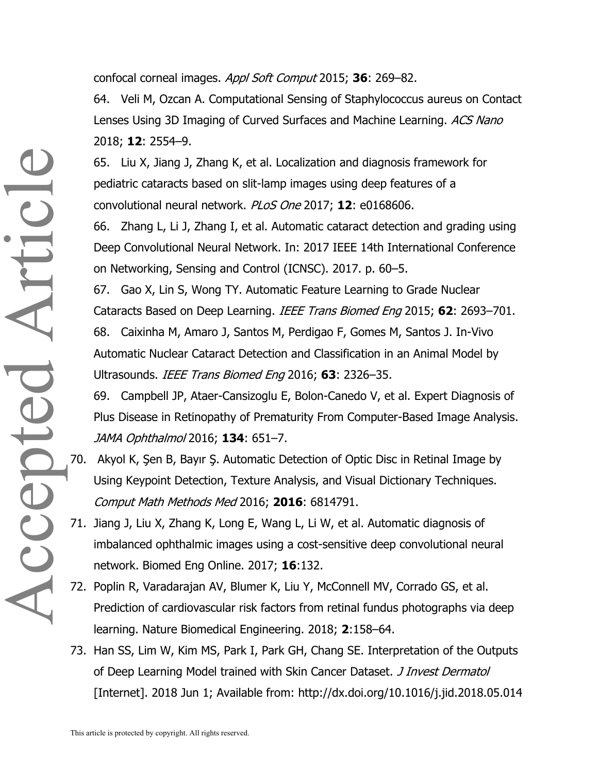[confocal corneal images.](http://paperpile.com/b/PHVQtU/obgS) [Appl Soft Comput](http://paperpile.com/b/PHVQtU/obgS) [2015;](http://paperpile.com/b/PHVQtU/obgS) **[36](http://paperpile.com/b/PHVQtU/obgS)**[: 269](http://paperpile.com/b/PHVQtU/obgS)–82.

64. [Veli M, Ozcan A. Computational Sensing of Staphylococcus aureus on Contact](http://paperpile.com/b/PHVQtU/3U5y)  [Lenses Using 3D Imaging of Curved Surfaces and Machine Learning.](http://paperpile.com/b/PHVQtU/3U5y) [ACS Nano](http://paperpile.com/b/PHVQtU/3U5y) [2018;](http://paperpile.com/b/PHVQtU/3U5y) **[12](http://paperpile.com/b/PHVQtU/3U5y)**[: 2554](http://paperpile.com/b/PHVQtU/3U5y)–9.

65. [Liu X, Jiang J, Zhang K, et al. Localization and diagnosis framework for](http://paperpile.com/b/PHVQtU/cYKz)  [pediatric cataracts based on slit-lamp images using deep features of a](http://paperpile.com/b/PHVQtU/cYKz)  [convolutional neural network.](http://paperpile.com/b/PHVQtU/cYKz) [PLoS One](http://paperpile.com/b/PHVQtU/cYKz) [2017;](http://paperpile.com/b/PHVQtU/cYKz) **[12](http://paperpile.com/b/PHVQtU/cYKz)**[: e0168606.](http://paperpile.com/b/PHVQtU/cYKz)

66. [Zhang L, Li J, Zhang I, et al. Automatic cataract detection and grading using](http://paperpile.com/b/PHVQtU/mq6w)  [Deep Convolutional Neural Network. In: 2017 IEEE 14th International Conference](http://paperpile.com/b/PHVQtU/mq6w)  [on Networking, Sensing and Control \(ICNSC\). 2017. p. 60](http://paperpile.com/b/PHVQtU/mq6w)–5.

67. [Gao X, Lin S, Wong TY. Automatic Feature Learning to Grade Nuclear](http://paperpile.com/b/PHVQtU/ImDM)  [Cataracts Based on Deep Learning.](http://paperpile.com/b/PHVQtU/ImDM) [IEEE Trans Biomed Eng](http://paperpile.com/b/PHVQtU/ImDM) [2015;](http://paperpile.com/b/PHVQtU/ImDM) **[62](http://paperpile.com/b/PHVQtU/ImDM)**[: 2693](http://paperpile.com/b/PHVQtU/ImDM)–701. 68. [Caixinha M, Amaro J, Santos M, Perdigao F, Gomes M, Santos J. In-Vivo](http://paperpile.com/b/PHVQtU/3ueE)  [Automatic Nuclear Cataract Detection and Classification in an Animal Model by](http://paperpile.com/b/PHVQtU/3ueE)  [Ultrasounds.](http://paperpile.com/b/PHVQtU/3ueE) [IEEE Trans Biomed Eng](http://paperpile.com/b/PHVQtU/3ueE) [2016;](http://paperpile.com/b/PHVQtU/3ueE) **[63](http://paperpile.com/b/PHVQtU/3ueE)**[: 2326](http://paperpile.com/b/PHVQtU/3ueE)–35.

69. [Campbell JP, Ataer-Cansizoglu E, Bolon-Canedo V, et al. Expert Diagnosis of](http://paperpile.com/b/PHVQtU/iM3p)  [Plus Disease in Retinopathy of Prematurity From Computer-Based Image Analysis.](http://paperpile.com/b/PHVQtU/iM3p)  [JAMA Ophthalmol](http://paperpile.com/b/PHVQtU/iM3p) [2016;](http://paperpile.com/b/PHVQtU/iM3p) **[134](http://paperpile.com/b/PHVQtU/iM3p)**[: 651](http://paperpile.com/b/PHVQtU/iM3p)–7.

- 70. [Akyol K, Şen B, Bayır Ş. Automatic Detection of Optic Disc in Retinal Image by](http://paperpile.com/b/PHVQtU/LTUD)  [Using Keypoint Detection, Texture Analysis, and Visual Dictionary Techniques.](http://paperpile.com/b/PHVQtU/LTUD)  [Comput Math Methods Med](http://paperpile.com/b/PHVQtU/LTUD) [2016;](http://paperpile.com/b/PHVQtU/LTUD) **[2016](http://paperpile.com/b/PHVQtU/LTUD)**[: 6814791.](http://paperpile.com/b/PHVQtU/LTUD)
- 71. [Jiang J, Liu X, Zhang K, Long E, Wang L, Li W, et al. Automatic diagnosis of](http://paperpile.com/b/PHVQtU/DfM1)  [imbalanced ophthalmic images using a cost-sensitive deep convolutional neural](http://paperpile.com/b/PHVQtU/DfM1)  [network. Biomed Eng Online. 2017;](http://paperpile.com/b/PHVQtU/DfM1) **[16](http://paperpile.com/b/PHVQtU/DfM1)**[:132.](http://paperpile.com/b/PHVQtU/DfM1)
- 72. [Poplin R, Varadarajan AV, Blumer K, Liu Y, McConnell MV, Corrado GS, et al.](http://paperpile.com/b/PHVQtU/akWZ)  [Prediction of cardiovascular risk factors from retinal fundus photographs via deep](http://paperpile.com/b/PHVQtU/akWZ)  [learning. Nature Biomedical Engineering. 2018;](http://paperpile.com/b/PHVQtU/akWZ) **[2](http://paperpile.com/b/PHVQtU/akWZ)**[:158](http://paperpile.com/b/PHVQtU/akWZ)–64.
- 73. [Han SS, Lim W, Kim MS, Park I, Park GH, Chang SE. Interpretation of the Outputs](http://paperpile.com/b/PHVQtU/m9bo)  [of Deep Learning Model trained with Skin Cancer Dataset.](http://paperpile.com/b/PHVQtU/m9bo) [J Invest Dermatol](http://paperpile.com/b/PHVQtU/m9bo) [\[Internet\]. 2018 Jun 1; Available from:](http://paperpile.com/b/PHVQtU/m9bo) [http://dx.doi.org/10.1016/j.jid.2018.05.014](http://paperpile.com/b/PHVQtU/m9bo)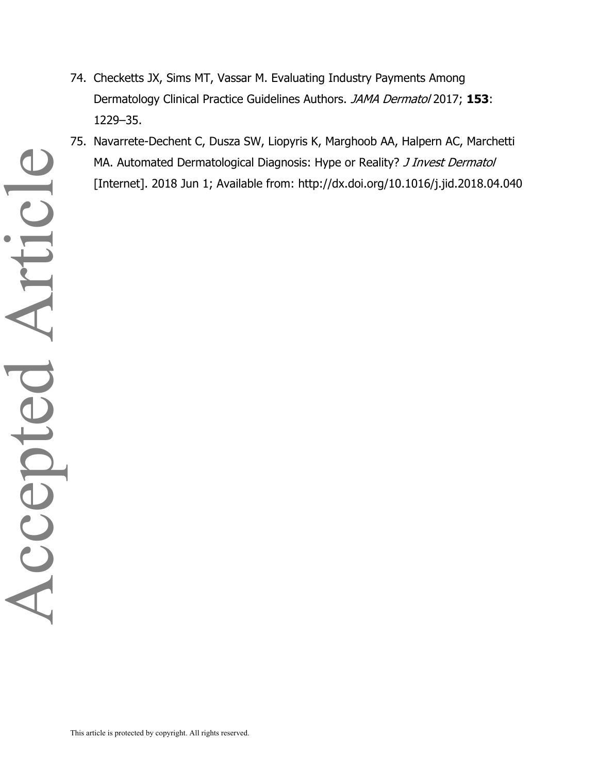- 74. [Checketts JX, Sims MT, Vassar M. Evaluating Industry Payments Among](http://paperpile.com/b/PHVQtU/3mVp)  [Dermatology Clinical Practice Guidelines Authors.](http://paperpile.com/b/PHVQtU/3mVp) [JAMA Dermatol](http://paperpile.com/b/PHVQtU/3mVp) [2017;](http://paperpile.com/b/PHVQtU/3mVp) **[153](http://paperpile.com/b/PHVQtU/3mVp)**[:](http://paperpile.com/b/PHVQtU/3mVp)  [1229](http://paperpile.com/b/PHVQtU/3mVp)–35.
- 75. [Navarrete-Dechent C, Dusza SW, Liopyris K, Marghoob AA, Halpern AC, Marchetti](http://paperpile.com/b/PHVQtU/uS71)  [MA. Automated Dermatological Diagnosis: Hype or Reality?](http://paperpile.com/b/PHVQtU/uS71) [J Invest Dermatol](http://paperpile.com/b/PHVQtU/uS71) [\[Internet\]. 2018 Jun 1; Available from:](http://paperpile.com/b/PHVQtU/uS71) [http://dx.doi.org/10.1016/j.jid.2018.04.040](http://paperpile.com/b/PHVQtU/uS71)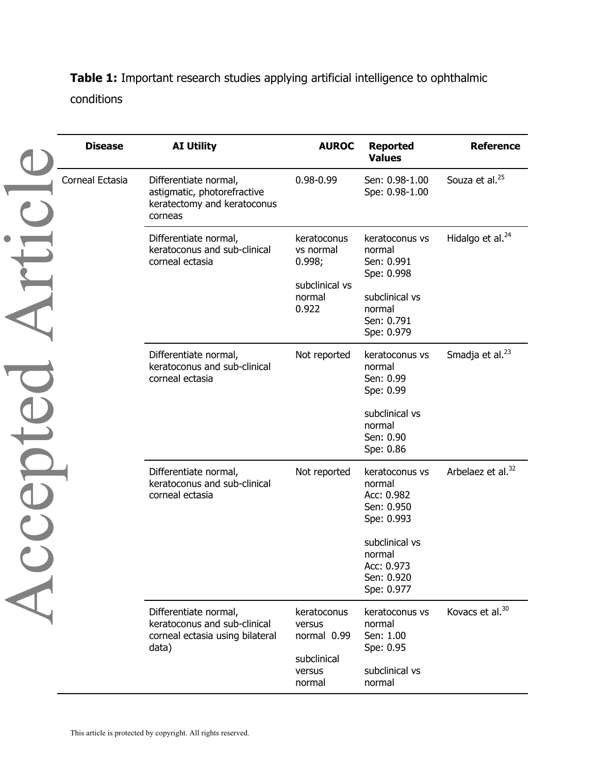# **Table 1:** Important research studies applying artificial intelligence to ophthalmic

conditions

 $\bullet$ 

|  | <b>Disease</b>  | <b>AI Utility</b>                                                                                 | <b>AUROC</b>                         | <b>Reported</b><br><b>Values</b>                                   | <b>Reference</b>              |
|--|-----------------|---------------------------------------------------------------------------------------------------|--------------------------------------|--------------------------------------------------------------------|-------------------------------|
|  | Corneal Ectasia | Differentiate normal,<br>astigmatic, photorefractive<br>keratectomy and keratoconus<br>corneas    | 0.98-0.99                            | Sen: 0.98-1.00<br>Spe: 0.98-1.00                                   | Souza et al. <sup>25</sup>    |
|  |                 | Differentiate normal,<br>keratoconus and sub-clinical<br>corneal ectasia                          | keratoconus<br>vs normal<br>0.998;   | keratoconus vs<br>normal<br>Sen: 0.991<br>Spe: 0.998               | Hidalgo et al. <sup>24</sup>  |
|  |                 |                                                                                                   | subclinical vs<br>normal<br>0.922    | subclinical vs<br>normal<br>Sen: 0.791<br>Spe: 0.979               |                               |
|  |                 | Differentiate normal,<br>keratoconus and sub-clinical<br>corneal ectasia                          | Not reported                         | keratoconus vs<br>normal<br>Sen: 0.99<br>Spe: 0.99                 | Smadja et al. <sup>23</sup>   |
|  |                 |                                                                                                   |                                      | subclinical vs<br>normal<br>Sen: 0.90<br>Spe: 0.86                 |                               |
|  |                 | Differentiate normal,<br>keratoconus and sub-clinical<br>corneal ectasia                          | Not reported                         | keratoconus vs<br>normal<br>Acc: 0.982<br>Sen: 0.950<br>Spe: 0.993 | Arbelaez et al. <sup>32</sup> |
|  |                 |                                                                                                   |                                      | subclinical vs<br>normal<br>Acc: 0.973<br>Sen: 0.920<br>Spe: 0.977 |                               |
|  |                 | Differentiate normal,<br>keratoconus and sub-clinical<br>corneal ectasia using bilateral<br>data) | keratoconus<br>versus<br>normal 0.99 | keratoconus vs<br>normal<br>Sen: 1.00<br>Spe: 0.95                 | Kovacs et al. <sup>30</sup>   |
|  |                 |                                                                                                   | subclinical<br>versus<br>normal      | subclinical vs<br>normal                                           |                               |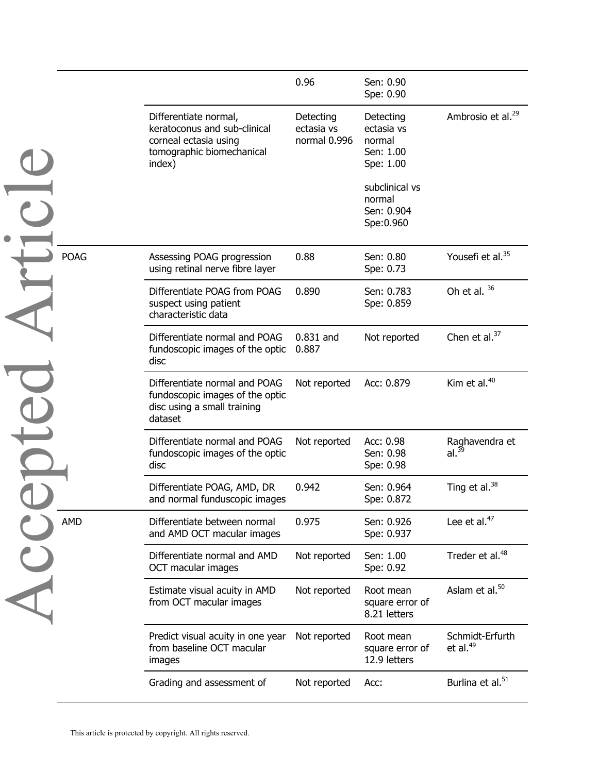|             |                                                                                                                       | 0.96                                    | Sen: 0.90<br>Spe: 0.90                                      |                                         |
|-------------|-----------------------------------------------------------------------------------------------------------------------|-----------------------------------------|-------------------------------------------------------------|-----------------------------------------|
|             | Differentiate normal,<br>keratoconus and sub-clinical<br>corneal ectasia using<br>tomographic biomechanical<br>index) | Detecting<br>ectasia vs<br>normal 0.996 | Detecting<br>ectasia vs<br>normal<br>Sen: 1.00<br>Spe: 1.00 | Ambrosio et al. <sup>29</sup>           |
|             |                                                                                                                       |                                         | subclinical vs<br>normal<br>Sen: 0.904<br>Spe:0.960         |                                         |
| <b>POAG</b> | Assessing POAG progression<br>using retinal nerve fibre layer                                                         | 0.88                                    | Sen: 0.80<br>Spe: 0.73                                      | Yousefi et al. <sup>35</sup>            |
|             | Differentiate POAG from POAG<br>suspect using patient<br>characteristic data                                          | 0.890                                   | Sen: 0.783<br>Spe: 0.859                                    | Oh et al. $36$                          |
|             | Differentiate normal and POAG<br>fundoscopic images of the optic<br>disc                                              | $0.831$ and<br>0.887                    | Not reported                                                | Chen et al. $37$                        |
| U           | Differentiate normal and POAG<br>fundoscopic images of the optic<br>disc using a small training<br>dataset            | Not reported                            | Acc: 0.879                                                  | Kim et al. $40$                         |
|             | Differentiate normal and POAG<br>fundoscopic images of the optic<br>disc                                              | Not reported                            | Acc: 0.98<br>Sen: 0.98<br>Spe: 0.98                         | Raghavendra et<br>al. <sup>39</sup>     |
|             | Differentiate POAG, AMD, DR<br>and normal funduscopic images                                                          | 0.942                                   | Sen: 0.964<br>Spe: 0.872                                    | Ting et al. $^{38}$                     |
| <b>AMD</b>  | Differentiate between normal<br>and AMD OCT macular images                                                            | 0.975                                   | Sen: 0.926<br>Spe: 0.937                                    | Lee et al. <sup>47</sup>                |
| ACC         | Differentiate normal and AMD<br>OCT macular images                                                                    | Not reported                            | Sen: 1.00<br>Spe: 0.92                                      | Treder et al. <sup>48</sup>             |
|             | Estimate visual acuity in AMD<br>from OCT macular images                                                              | Not reported                            | Root mean<br>square error of<br>8.21 letters                | Aslam et al. <sup>50</sup>              |
|             | Predict visual acuity in one year<br>from baseline OCT macular<br>images                                              | Not reported                            | Root mean<br>square error of<br>12.9 letters                | Schmidt-Erfurth<br>et al. <sup>49</sup> |
|             | Grading and assessment of                                                                                             | Not reported                            | Acc:                                                        | Burlina et al. <sup>51</sup>            |